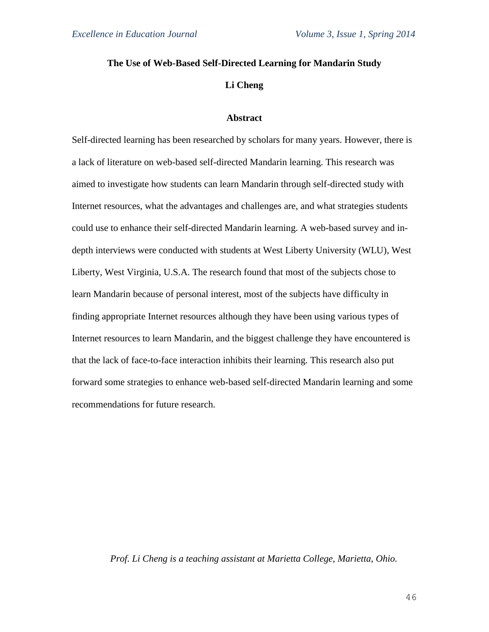# **The Use of Web-Based Self-Directed Learning for Mandarin Study**

# **Li Cheng**

# **Abstract**

Self-directed learning has been researched by scholars for many years. However, there is a lack of literature on web-based self-directed Mandarin learning. This research was aimed to investigate how students can learn Mandarin through self-directed study with Internet resources, what the advantages and challenges are, and what strategies students could use to enhance their self-directed Mandarin learning. A web-based survey and indepth interviews were conducted with students at West Liberty University (WLU), West Liberty, West Virginia, U.S.A. The research found that most of the subjects chose to learn Mandarin because of personal interest, most of the subjects have difficulty in finding appropriate Internet resources although they have been using various types of Internet resources to learn Mandarin, and the biggest challenge they have encountered is that the lack of face-to-face interaction inhibits their learning. This research also put forward some strategies to enhance web-based self-directed Mandarin learning and some recommendations for future research.

## *Prof. Li Cheng is a teaching assistant at Marietta College, Marietta, Ohio.*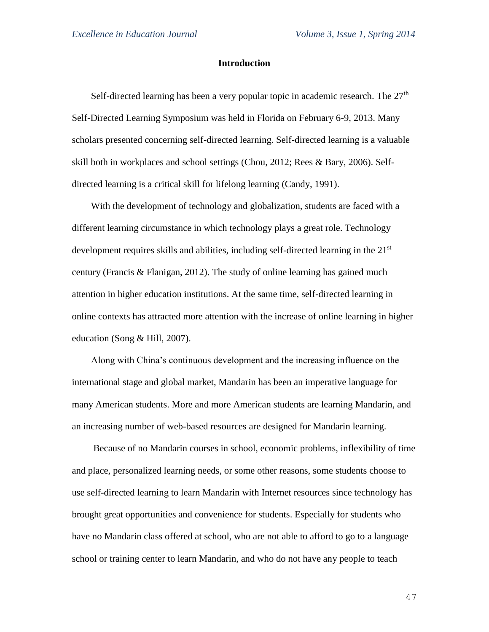# **Introduction**

Self-directed learning has been a very popular topic in academic research. The  $27<sup>th</sup>$ Self-Directed Learning Symposium was held in Florida on February 6-9, 2013. Many scholars presented concerning self-directed learning. Self-directed learning is a valuable skill both in workplaces and school settings (Chou, 2012; Rees & Bary, 2006). Selfdirected learning is a critical skill for lifelong learning (Candy, 1991).

With the development of technology and globalization, students are faced with a different learning circumstance in which technology plays a great role. Technology development requires skills and abilities, including self-directed learning in the 21<sup>st</sup> century (Francis & Flanigan, 2012). The study of online learning has gained much attention in higher education institutions. At the same time, self-directed learning in online contexts has attracted more attention with the increase of online learning in higher education (Song & Hill, 2007).

Along with China's continuous development and the increasing influence on the international stage and global market, Mandarin has been an imperative language for many American students. More and more American students are learning Mandarin, and an increasing number of web-based resources are designed for Mandarin learning.

Because of no Mandarin courses in school, economic problems, inflexibility of time and place, personalized learning needs, or some other reasons, some students choose to use self-directed learning to learn Mandarin with Internet resources since technology has brought great opportunities and convenience for students. Especially for students who have no Mandarin class offered at school, who are not able to afford to go to a language school or training center to learn Mandarin, and who do not have any people to teach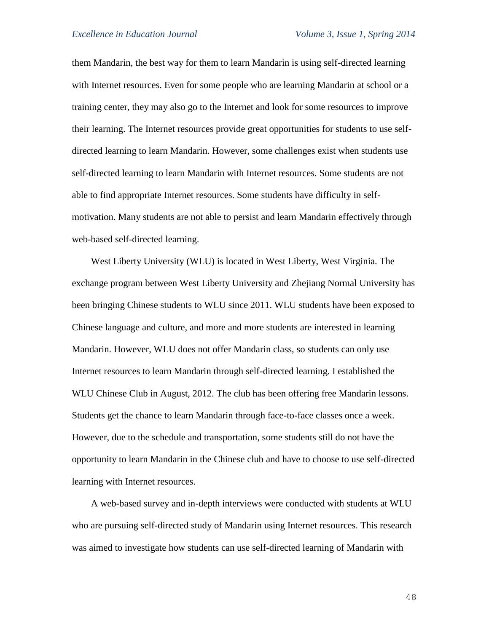them Mandarin, the best way for them to learn Mandarin is using self-directed learning with Internet resources. Even for some people who are learning Mandarin at school or a training center, they may also go to the Internet and look for some resources to improve their learning. The Internet resources provide great opportunities for students to use selfdirected learning to learn Mandarin. However, some challenges exist when students use self-directed learning to learn Mandarin with Internet resources. Some students are not able to find appropriate Internet resources. Some students have difficulty in selfmotivation. Many students are not able to persist and learn Mandarin effectively through web-based self-directed learning.

West Liberty University (WLU) is located in West Liberty, West Virginia. The exchange program between West Liberty University and Zhejiang Normal University has been bringing Chinese students to WLU since 2011. WLU students have been exposed to Chinese language and culture, and more and more students are interested in learning Mandarin. However, WLU does not offer Mandarin class, so students can only use Internet resources to learn Mandarin through self-directed learning. I established the WLU Chinese Club in August, 2012. The club has been offering free Mandarin lessons. Students get the chance to learn Mandarin through face-to-face classes once a week. However, due to the schedule and transportation, some students still do not have the opportunity to learn Mandarin in the Chinese club and have to choose to use self-directed learning with Internet resources.

A web-based survey and in-depth interviews were conducted with students at WLU who are pursuing self-directed study of Mandarin using Internet resources. This research was aimed to investigate how students can use self-directed learning of Mandarin with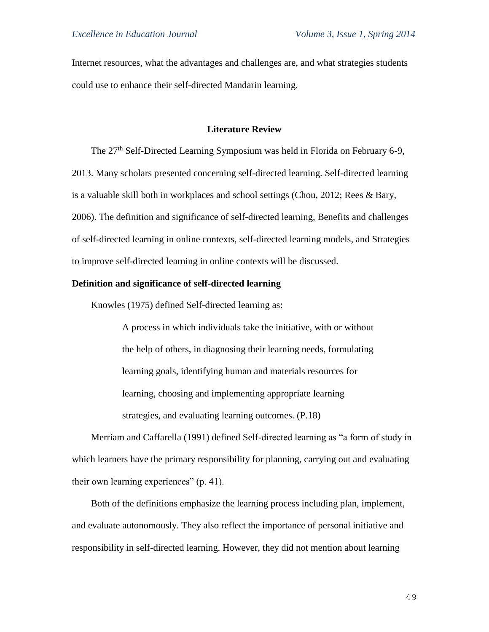Internet resources, what the advantages and challenges are, and what strategies students could use to enhance their self-directed Mandarin learning.

### **Literature Review**

The 27<sup>th</sup> Self-Directed Learning Symposium was held in Florida on February 6-9, 2013. Many scholars presented concerning self-directed learning. Self-directed learning is a valuable skill both in workplaces and school settings (Chou, 2012; Rees & Bary, 2006). The definition and significance of self-directed learning, Benefits and challenges of self-directed learning in online contexts, self-directed learning models, and Strategies to improve self-directed learning in online contexts will be discussed.

### **Definition and significance of self-directed learning**

Knowles (1975) defined Self-directed learning as:

A process in which individuals take the initiative, with or without the help of others, in diagnosing their learning needs, formulating learning goals, identifying human and materials resources for learning, choosing and implementing appropriate learning strategies, and evaluating learning outcomes. (P.18)

Merriam and Caffarella (1991) defined Self-directed learning as "a form of study in which learners have the primary responsibility for planning, carrying out and evaluating their own learning experiences" (p. 41).

Both of the definitions emphasize the learning process including plan, implement, and evaluate autonomously. They also reflect the importance of personal initiative and responsibility in self-directed learning. However, they did not mention about learning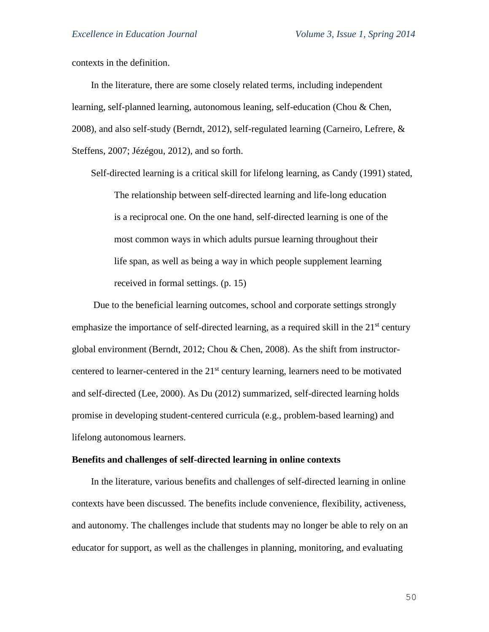contexts in the definition.

In the literature, there are some closely related terms, including independent learning, self-planned learning, autonomous leaning, self-education (Chou & Chen, 2008), and also self-study (Berndt, 2012), self-regulated learning (Carneiro, Lefrere,  $\&$ Steffens, 2007; Jézégou, 2012), and so forth.

Self-directed learning is a critical skill for lifelong learning, as Candy (1991) stated, The relationship between self-directed learning and life-long education is a reciprocal one. On the one hand, self-directed learning is one of the most common ways in which adults pursue learning throughout their life span, as well as being a way in which people supplement learning received in formal settings. (p. 15)

Due to the beneficial learning outcomes, school and corporate settings strongly emphasize the importance of self-directed learning, as a required skill in the  $21<sup>st</sup>$  century global environment (Berndt, 2012; Chou & Chen, 2008). As the shift from instructorcentered to learner-centered in the 21<sup>st</sup> century learning, learners need to be motivated and self-directed (Lee, 2000). As Du (2012) summarized, self-directed learning holds promise in developing student-centered curricula (e.g., problem-based learning) and lifelong autonomous learners.

#### **Benefits and challenges of self-directed learning in online contexts**

In the literature, various benefits and challenges of self-directed learning in online contexts have been discussed. The benefits include convenience, flexibility, activeness, and autonomy. The challenges include that students may no longer be able to rely on an educator for support, as well as the challenges in planning, monitoring, and evaluating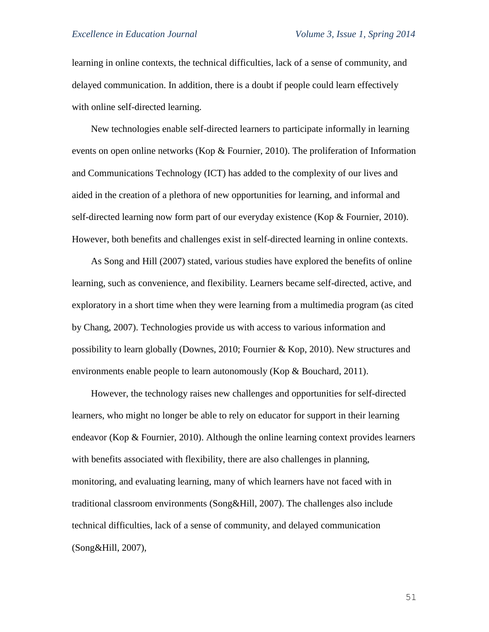learning in online contexts, the technical difficulties, lack of a sense of community, and delayed communication. In addition, there is a doubt if people could learn effectively with online self-directed learning.

New technologies enable self-directed learners to participate informally in learning events on open online networks (Kop & Fournier, 2010). The proliferation of Information and Communications Technology (ICT) has added to the complexity of our lives and aided in the creation of a plethora of new opportunities for learning, and informal and self-directed learning now form part of our everyday existence (Kop & Fournier, 2010). However, both benefits and challenges exist in self-directed learning in online contexts.

As Song and Hill (2007) stated, various studies have explored the benefits of online learning, such as convenience, and flexibility. Learners became self-directed, active, and exploratory in a short time when they were learning from a multimedia program (as cited by Chang, 2007). Technologies provide us with access to various information and possibility to learn globally (Downes, 2010; Fournier & Kop, 2010). New structures and environments enable people to learn autonomously (Kop & Bouchard, 2011).

However, the technology raises new challenges and opportunities for self-directed learners, who might no longer be able to rely on educator for support in their learning endeavor (Kop & Fournier, 2010). Although the online learning context provides learners with benefits associated with flexibility, there are also challenges in planning, monitoring, and evaluating learning, many of which learners have not faced with in traditional classroom environments (Song&Hill, 2007). The challenges also include technical difficulties, lack of a sense of community, and delayed communication (Song&Hill, 2007),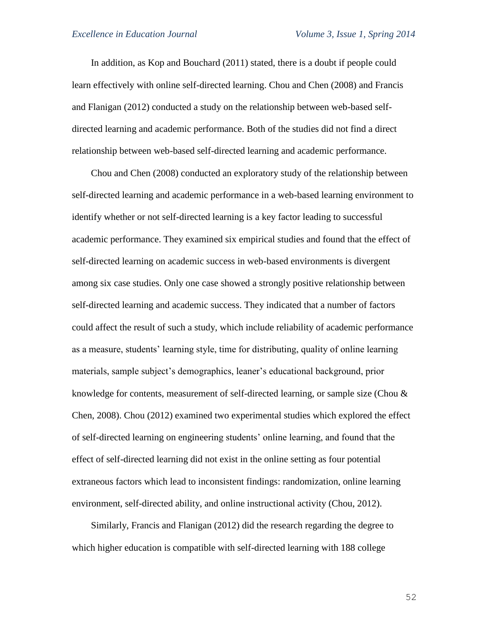In addition, as Kop and Bouchard (2011) stated, there is a doubt if people could learn effectively with online self-directed learning. Chou and Chen (2008) and Francis and Flanigan (2012) conducted a study on the relationship between web-based selfdirected learning and academic performance. Both of the studies did not find a direct relationship between web-based self-directed learning and academic performance.

Chou and Chen (2008) conducted an exploratory study of the relationship between self-directed learning and academic performance in a web-based learning environment to identify whether or not self-directed learning is a key factor leading to successful academic performance. They examined six empirical studies and found that the effect of self-directed learning on academic success in web-based environments is divergent among six case studies. Only one case showed a strongly positive relationship between self-directed learning and academic success. They indicated that a number of factors could affect the result of such a study, which include reliability of academic performance as a measure, students' learning style, time for distributing, quality of online learning materials, sample subject's demographics, leaner's educational background, prior knowledge for contents, measurement of self-directed learning, or sample size (Chou & Chen, 2008). Chou (2012) examined two experimental studies which explored the effect of self-directed learning on engineering students' online learning, and found that the effect of self-directed learning did not exist in the online setting as four potential extraneous factors which lead to inconsistent findings: randomization, online learning environment, self-directed ability, and online instructional activity (Chou, 2012).

Similarly, Francis and Flanigan (2012) did the research regarding the degree to which higher education is compatible with self-directed learning with 188 college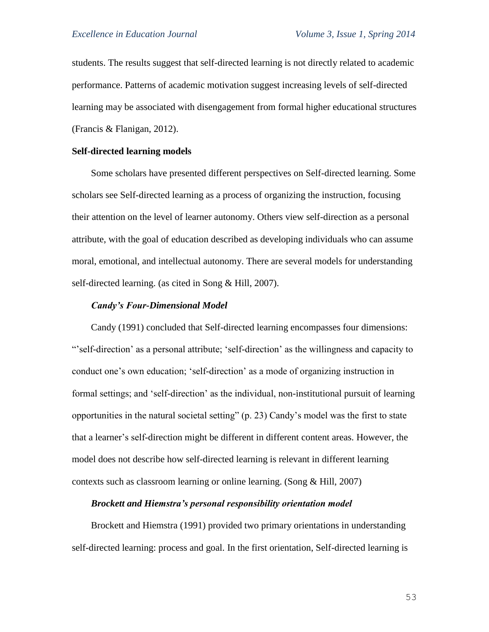students. The results suggest that self-directed learning is not directly related to academic performance. Patterns of academic motivation suggest increasing levels of self-directed learning may be associated with disengagement from formal higher educational structures (Francis & Flanigan, 2012).

### **Self-directed learning models**

Some scholars have presented different perspectives on Self-directed learning. Some scholars see Self-directed learning as a process of organizing the instruction, focusing their attention on the level of learner autonomy. Others view self-direction as a personal attribute, with the goal of education described as developing individuals who can assume moral, emotional, and intellectual autonomy. There are several models for understanding self-directed learning. (as cited in Song & Hill, 2007).

#### *Candy's Four-Dimensional Model*

Candy (1991) concluded that Self-directed learning encompasses four dimensions: "'self-direction' as a personal attribute; 'self-direction' as the willingness and capacity to conduct one's own education; 'self-direction' as a mode of organizing instruction in formal settings; and 'self-direction' as the individual, non-institutional pursuit of learning opportunities in the natural societal setting" (p. 23) Candy's model was the first to state that a learner's self-direction might be different in different content areas. However, the model does not describe how self-directed learning is relevant in different learning contexts such as classroom learning or online learning. (Song & Hill, 2007)

#### *Brockett and Hiemstra's personal responsibility orientation model*

Brockett and Hiemstra (1991) provided two primary orientations in understanding self-directed learning: process and goal. In the first orientation, Self-directed learning is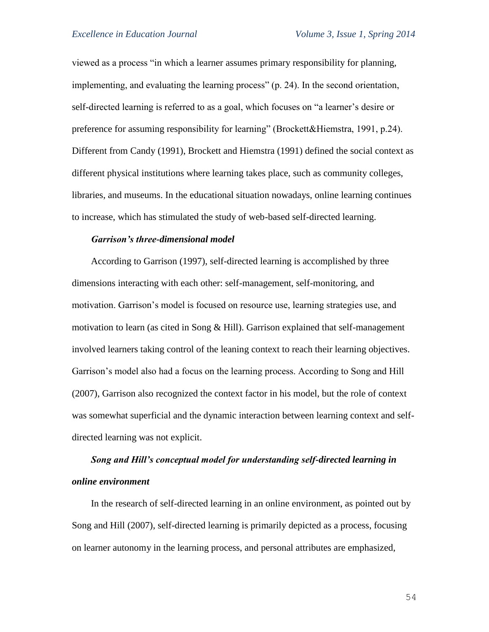viewed as a process "in which a learner assumes primary responsibility for planning, implementing, and evaluating the learning process" (p. 24). In the second orientation, self-directed learning is referred to as a goal, which focuses on "a learner's desire or preference for assuming responsibility for learning" (Brockett&Hiemstra, 1991, p.24). Different from Candy (1991), Brockett and Hiemstra (1991) defined the social context as different physical institutions where learning takes place, such as community colleges, libraries, and museums. In the educational situation nowadays, online learning continues to increase, which has stimulated the study of web-based self-directed learning.

### *Garrison's three-dimensional model*

According to Garrison (1997), self-directed learning is accomplished by three dimensions interacting with each other: self-management, self-monitoring, and motivation. Garrison's model is focused on resource use, learning strategies use, and motivation to learn (as cited in Song  $&$  Hill). Garrison explained that self-management involved learners taking control of the leaning context to reach their learning objectives. Garrison's model also had a focus on the learning process. According to Song and Hill (2007), Garrison also recognized the context factor in his model, but the role of context was somewhat superficial and the dynamic interaction between learning context and selfdirected learning was not explicit.

# *Song and Hill's conceptual model for understanding self-directed learning in online environment*

In the research of self-directed learning in an online environment, as pointed out by Song and Hill (2007), self-directed learning is primarily depicted as a process, focusing on learner autonomy in the learning process, and personal attributes are emphasized,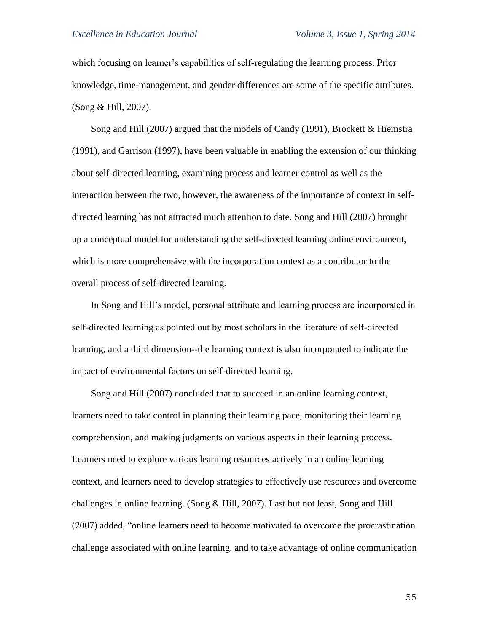which focusing on learner's capabilities of self-regulating the learning process. Prior knowledge, time-management, and gender differences are some of the specific attributes. (Song & Hill, 2007).

Song and Hill (2007) argued that the models of Candy (1991), Brockett & Hiemstra (1991), and Garrison (1997), have been valuable in enabling the extension of our thinking about self-directed learning, examining process and learner control as well as the interaction between the two, however, the awareness of the importance of context in selfdirected learning has not attracted much attention to date. Song and Hill (2007) brought up a conceptual model for understanding the self-directed learning online environment, which is more comprehensive with the incorporation context as a contributor to the overall process of self-directed learning.

In Song and Hill's model, personal attribute and learning process are incorporated in self-directed learning as pointed out by most scholars in the literature of self-directed learning, and a third dimension--the learning context is also incorporated to indicate the impact of environmental factors on self-directed learning.

Song and Hill (2007) concluded that to succeed in an online learning context, learners need to take control in planning their learning pace, monitoring their learning comprehension, and making judgments on various aspects in their learning process. Learners need to explore various learning resources actively in an online learning context, and learners need to develop strategies to effectively use resources and overcome challenges in online learning. (Song & Hill, 2007). Last but not least, Song and Hill (2007) added, "online learners need to become motivated to overcome the procrastination challenge associated with online learning, and to take advantage of online communication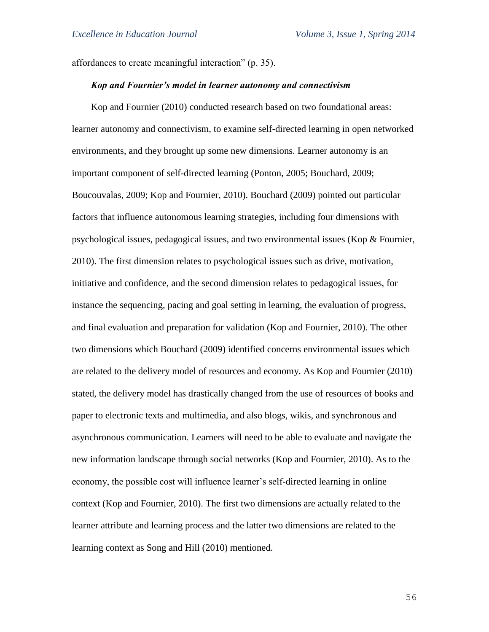affordances to create meaningful interaction" (p. 35).

# *Kop and Fournier's model in learner autonomy and connectivism*

Kop and Fournier (2010) conducted research based on two foundational areas: learner autonomy and connectivism, to examine self-directed learning in open networked environments, and they brought up some new dimensions. Learner autonomy is an important component of self-directed learning (Ponton, 2005; Bouchard, 2009; Boucouvalas, 2009; Kop and Fournier, 2010). Bouchard (2009) pointed out particular factors that influence autonomous learning strategies, including four dimensions with psychological issues, pedagogical issues, and two environmental issues (Kop & Fournier, 2010). The first dimension relates to psychological issues such as drive, motivation, initiative and confidence, and the second dimension relates to pedagogical issues, for instance the sequencing, pacing and goal setting in learning, the evaluation of progress, and final evaluation and preparation for validation (Kop and Fournier, 2010). The other two dimensions which Bouchard (2009) identified concerns environmental issues which are related to the delivery model of resources and economy. As Kop and Fournier (2010) stated, the delivery model has drastically changed from the use of resources of books and paper to electronic texts and multimedia, and also blogs, wikis, and synchronous and asynchronous communication. Learners will need to be able to evaluate and navigate the new information landscape through social networks (Kop and Fournier, 2010). As to the economy, the possible cost will influence learner's self-directed learning in online context (Kop and Fournier, 2010). The first two dimensions are actually related to the learner attribute and learning process and the latter two dimensions are related to the learning context as Song and Hill (2010) mentioned.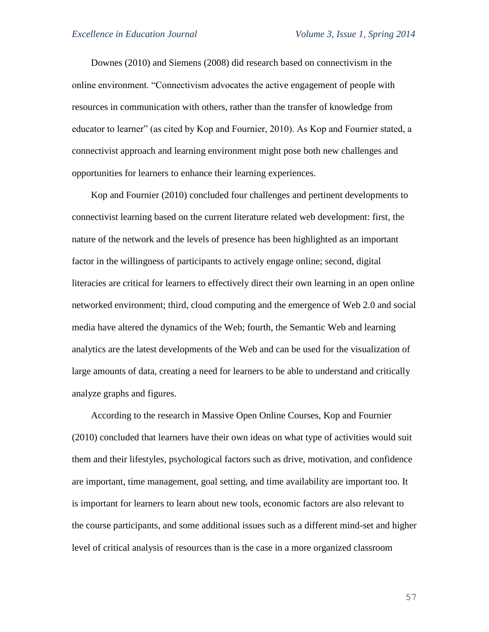Downes (2010) and Siemens (2008) did research based on connectivism in the online environment. "Connectivism advocates the active engagement of people with resources in communication with others, rather than the transfer of knowledge from educator to learner" (as cited by Kop and Fournier, 2010). As Kop and Fournier stated, a connectivist approach and learning environment might pose both new challenges and opportunities for learners to enhance their learning experiences.

Kop and Fournier (2010) concluded four challenges and pertinent developments to connectivist learning based on the current literature related web development: first, the nature of the network and the levels of presence has been highlighted as an important factor in the willingness of participants to actively engage online; second, digital literacies are critical for learners to effectively direct their own learning in an open online networked environment; third, cloud computing and the emergence of Web 2.0 and social media have altered the dynamics of the Web; fourth, the Semantic Web and learning analytics are the latest developments of the Web and can be used for the visualization of large amounts of data, creating a need for learners to be able to understand and critically analyze graphs and figures.

According to the research in Massive Open Online Courses, Kop and Fournier (2010) concluded that learners have their own ideas on what type of activities would suit them and their lifestyles, psychological factors such as drive, motivation, and confidence are important, time management, goal setting, and time availability are important too. It is important for learners to learn about new tools, economic factors are also relevant to the course participants, and some additional issues such as a different mind-set and higher level of critical analysis of resources than is the case in a more organized classroom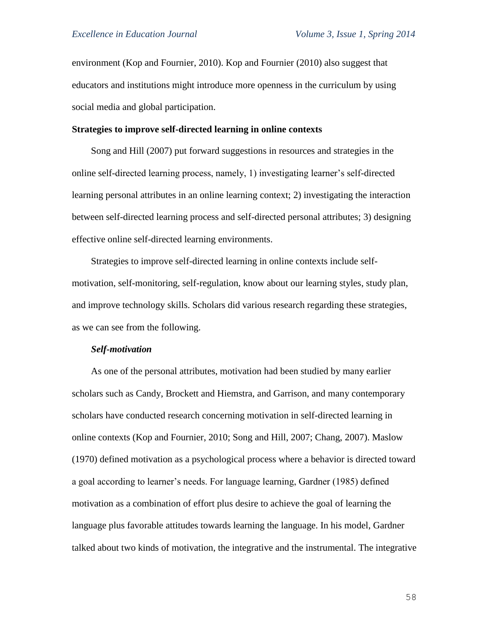environment (Kop and Fournier, 2010). Kop and Fournier (2010) also suggest that educators and institutions might introduce more openness in the curriculum by using social media and global participation.

#### **Strategies to improve self-directed learning in online contexts**

Song and Hill (2007) put forward suggestions in resources and strategies in the online self-directed learning process, namely, 1) investigating learner's self-directed learning personal attributes in an online learning context; 2) investigating the interaction between self-directed learning process and self-directed personal attributes; 3) designing effective online self-directed learning environments.

Strategies to improve self-directed learning in online contexts include selfmotivation, self-monitoring, self-regulation, know about our learning styles, study plan, and improve technology skills. Scholars did various research regarding these strategies, as we can see from the following.

#### *Self-motivation*

As one of the personal attributes, motivation had been studied by many earlier scholars such as Candy, Brockett and Hiemstra, and Garrison, and many contemporary scholars have conducted research concerning motivation in self-directed learning in online contexts (Kop and Fournier, 2010; Song and Hill, 2007; Chang, 2007). Maslow (1970) defined motivation as a psychological process where a behavior is directed toward a goal according to learner's needs. For language learning, Gardner (1985) defined motivation as a combination of effort plus desire to achieve the goal of learning the language plus favorable attitudes towards learning the language. In his model, Gardner talked about two kinds of motivation, the integrative and the instrumental. The integrative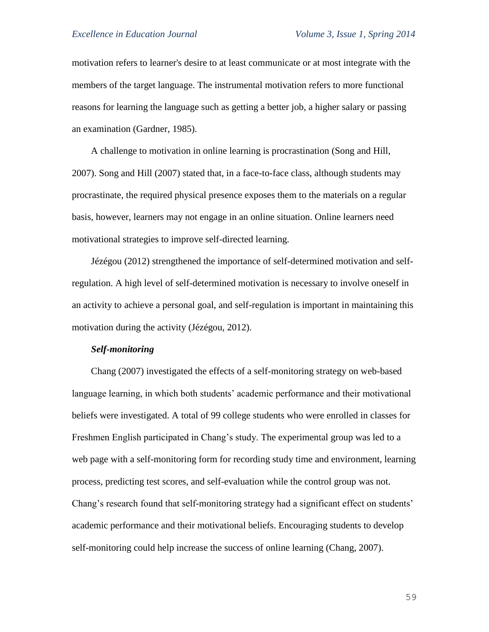motivation refers to learner's desire to at least communicate or at most integrate with the members of the target language. The instrumental motivation refers to more functional reasons for learning the language such as getting a better job, a higher salary or passing an examination (Gardner, 1985).

A challenge to motivation in online learning is procrastination (Song and Hill, 2007). Song and Hill (2007) stated that, in a face-to-face class, although students may procrastinate, the required physical presence exposes them to the materials on a regular basis, however, learners may not engage in an online situation. Online learners need motivational strategies to improve self-directed learning.

Jézégou (2012) strengthened the importance of self-determined motivation and selfregulation. A high level of self-determined motivation is necessary to involve oneself in an activity to achieve a personal goal, and self-regulation is important in maintaining this motivation during the activity (Jézégou, 2012).

## *Self-monitoring*

Chang (2007) investigated the effects of a self-monitoring strategy on web-based language learning, in which both students' academic performance and their motivational beliefs were investigated. A total of 99 college students who were enrolled in classes for Freshmen English participated in Chang's study. The experimental group was led to a web page with a self-monitoring form for recording study time and environment, learning process, predicting test scores, and self-evaluation while the control group was not. Chang's research found that self-monitoring strategy had a significant effect on students' academic performance and their motivational beliefs. Encouraging students to develop self-monitoring could help increase the success of online learning (Chang, 2007).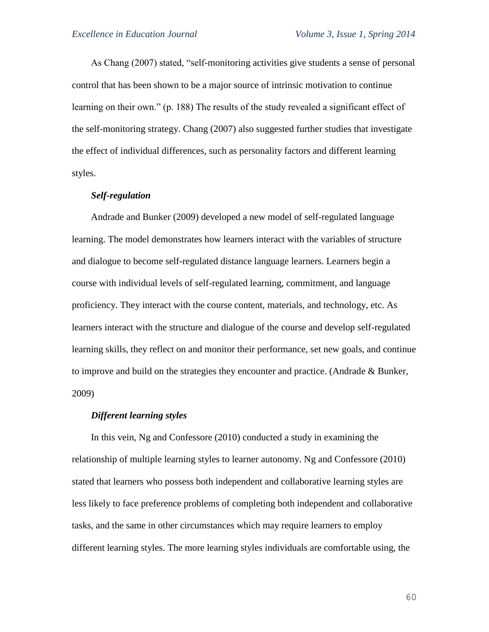As Chang (2007) stated, "self-monitoring activities give students a sense of personal control that has been shown to be a major source of intrinsic motivation to continue learning on their own." (p. 188) The results of the study revealed a significant effect of the self-monitoring strategy. Chang (2007) also suggested further studies that investigate the effect of individual differences, such as personality factors and different learning styles.

# *Self-regulation*

Andrade and Bunker (2009) developed a new model of self-regulated language learning. The model demonstrates how learners interact with the variables of structure and dialogue to become self-regulated distance language learners. Learners begin a course with individual levels of self-regulated learning, commitment, and language proficiency. They interact with the course content, materials, and technology, etc. As learners interact with the structure and dialogue of the course and develop self-regulated learning skills, they reflect on and monitor their performance, set new goals, and continue to improve and build on the strategies they encounter and practice. (Andrade & Bunker, 2009)

### *Different learning styles*

In this vein, Ng and Confessore (2010) conducted a study in examining the relationship of multiple learning styles to learner autonomy. Ng and Confessore (2010) stated that learners who possess both independent and collaborative learning styles are less likely to face preference problems of completing both independent and collaborative tasks, and the same in other circumstances which may require learners to employ different learning styles. The more learning styles individuals are comfortable using, the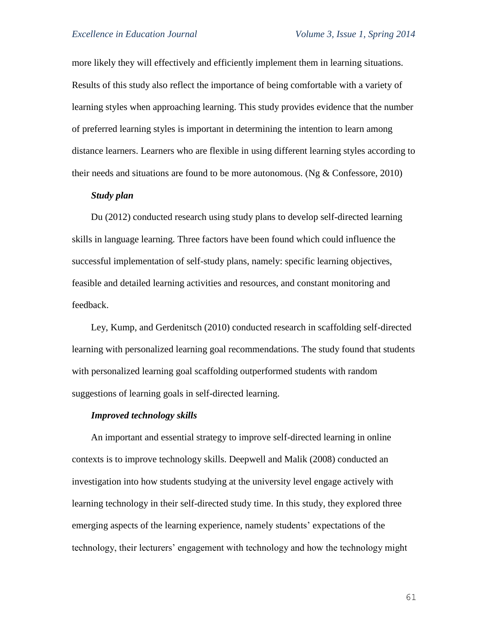more likely they will effectively and efficiently implement them in learning situations. Results of this study also reflect the importance of being comfortable with a variety of learning styles when approaching learning. This study provides evidence that the number of preferred learning styles is important in determining the intention to learn among distance learners. Learners who are flexible in using different learning styles according to their needs and situations are found to be more autonomous. (Ng  $&$  Confessore, 2010)

#### *Study plan*

Du (2012) conducted research using study plans to develop self-directed learning skills in language learning. Three factors have been found which could influence the successful implementation of self-study plans, namely: specific learning objectives, feasible and detailed learning activities and resources, and constant monitoring and feedback.

Ley, Kump, and Gerdenitsch (2010) conducted research in scaffolding self-directed learning with personalized learning goal recommendations. The study found that students with personalized learning goal scaffolding outperformed students with random suggestions of learning goals in self-directed learning.

#### *Improved technology skills*

An important and essential strategy to improve self-directed learning in online contexts is to improve technology skills. Deepwell and Malik (2008) conducted an investigation into how students studying at the university level engage actively with learning technology in their self-directed study time. In this study, they explored three emerging aspects of the learning experience, namely students' expectations of the technology, their lecturers' engagement with technology and how the technology might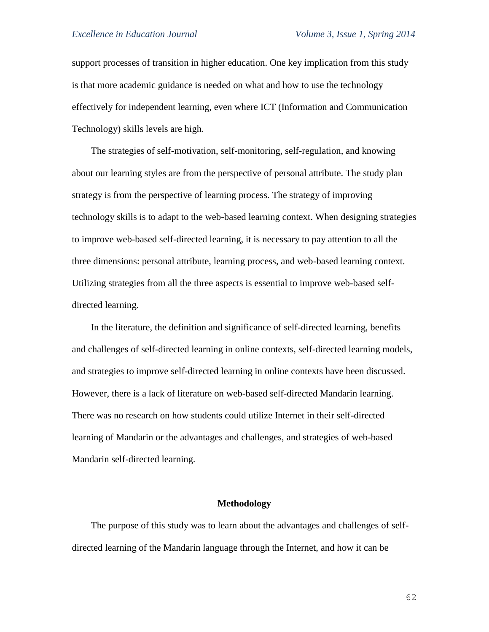support processes of transition in higher education. One key implication from this study is that more academic guidance is needed on what and how to use the technology effectively for independent learning, even where ICT (Information and Communication Technology) skills levels are high.

The strategies of self-motivation, self-monitoring, self-regulation, and knowing about our learning styles are from the perspective of personal attribute. The study plan strategy is from the perspective of learning process. The strategy of improving technology skills is to adapt to the web-based learning context. When designing strategies to improve web-based self-directed learning, it is necessary to pay attention to all the three dimensions: personal attribute, learning process, and web-based learning context. Utilizing strategies from all the three aspects is essential to improve web-based selfdirected learning.

In the literature, the definition and significance of self-directed learning, benefits and challenges of self-directed learning in online contexts, self-directed learning models, and strategies to improve self-directed learning in online contexts have been discussed. However, there is a lack of literature on web-based self-directed Mandarin learning. There was no research on how students could utilize Internet in their self-directed learning of Mandarin or the advantages and challenges, and strategies of web-based Mandarin self-directed learning.

#### **Methodology**

The purpose of this study was to learn about the advantages and challenges of selfdirected learning of the Mandarin language through the Internet, and how it can be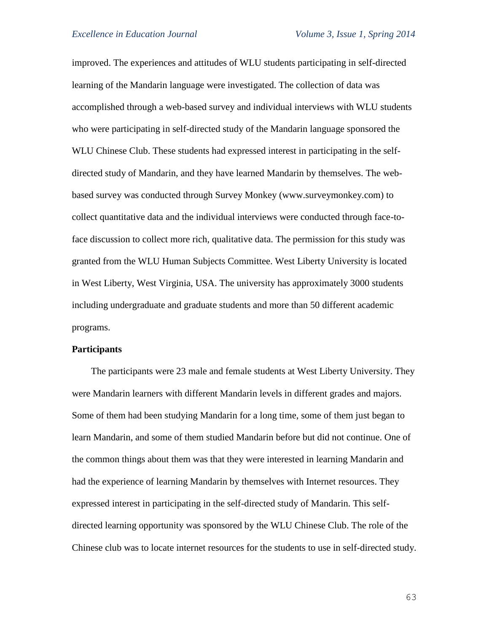improved. The experiences and attitudes of WLU students participating in self-directed learning of the Mandarin language were investigated. The collection of data was accomplished through a web-based survey and individual interviews with WLU students who were participating in self-directed study of the Mandarin language sponsored the WLU Chinese Club. These students had expressed interest in participating in the selfdirected study of Mandarin, and they have learned Mandarin by themselves. The webbased survey was conducted through Survey Monkey (www.surveymonkey.com) to collect quantitative data and the individual interviews were conducted through face-toface discussion to collect more rich, qualitative data. The permission for this study was granted from the WLU Human Subjects Committee. West Liberty University is located in West Liberty, West Virginia, USA. The university has approximately 3000 students including undergraduate and graduate students and more than 50 different academic programs.

## **Participants**

The participants were 23 male and female students at West Liberty University. They were Mandarin learners with different Mandarin levels in different grades and majors. Some of them had been studying Mandarin for a long time, some of them just began to learn Mandarin, and some of them studied Mandarin before but did not continue. One of the common things about them was that they were interested in learning Mandarin and had the experience of learning Mandarin by themselves with Internet resources. They expressed interest in participating in the self-directed study of Mandarin. This selfdirected learning opportunity was sponsored by the WLU Chinese Club. The role of the Chinese club was to locate internet resources for the students to use in self-directed study.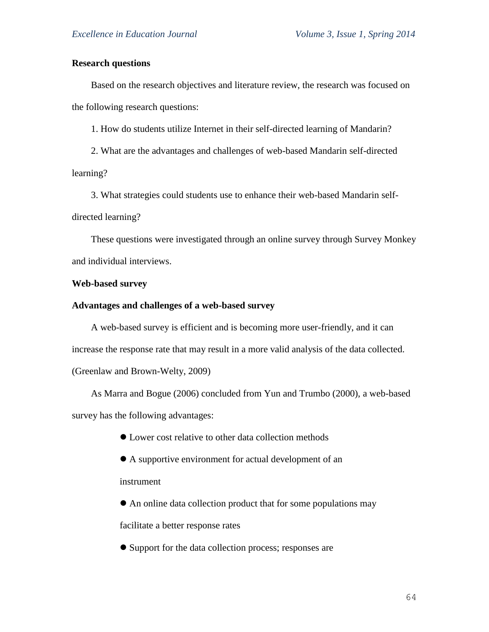# **Research questions**

Based on the research objectives and literature review, the research was focused on the following research questions:

1. How do students utilize Internet in their self-directed learning of Mandarin?

2. What are the advantages and challenges of web-based Mandarin self-directed learning?

3. What strategies could students use to enhance their web-based Mandarin selfdirected learning?

These questions were investigated through an online survey through Survey Monkey and individual interviews.

#### **Web-based survey**

#### **Advantages and challenges of a web-based survey**

A web-based survey is efficient and is becoming more user-friendly, and it can increase the response rate that may result in a more valid analysis of the data collected. (Greenlaw and Brown-Welty, 2009)

As Marra and Bogue (2006) concluded from Yun and Trumbo (2000), a web-based survey has the following advantages:

- Lower cost relative to other data collection methods
- A supportive environment for actual development of an

instrument

An online data collection product that for some populations may

facilitate a better response rates

Support for the data collection process; responses are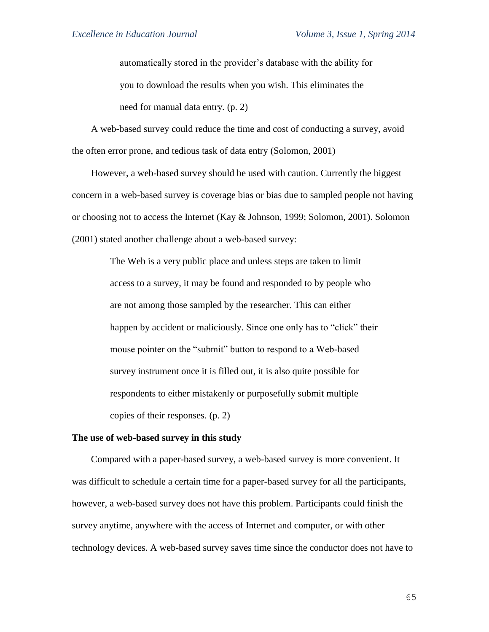automatically stored in the provider's database with the ability for you to download the results when you wish. This eliminates the need for manual data entry. (p. 2)

A web-based survey could reduce the time and cost of conducting a survey, avoid the often error prone, and tedious task of data entry (Solomon, 2001)

However, a web-based survey should be used with caution. Currently the biggest concern in a web-based survey is coverage bias or bias due to sampled people not having or choosing not to access the Internet (Kay & Johnson, 1999; Solomon, 2001). Solomon (2001) stated another challenge about a web-based survey:

> The Web is a very public place and unless steps are taken to limit access to a survey, it may be found and responded to by people who are not among those sampled by the researcher. This can either happen by accident or maliciously. Since one only has to "click" their mouse pointer on the "submit" button to respond to a Web-based survey instrument once it is filled out, it is also quite possible for respondents to either mistakenly or purposefully submit multiple copies of their responses. (p. 2)

#### **The use of web-based survey in this study**

Compared with a paper-based survey, a web-based survey is more convenient. It was difficult to schedule a certain time for a paper-based survey for all the participants, however, a web-based survey does not have this problem. Participants could finish the survey anytime, anywhere with the access of Internet and computer, or with other technology devices. A web-based survey saves time since the conductor does not have to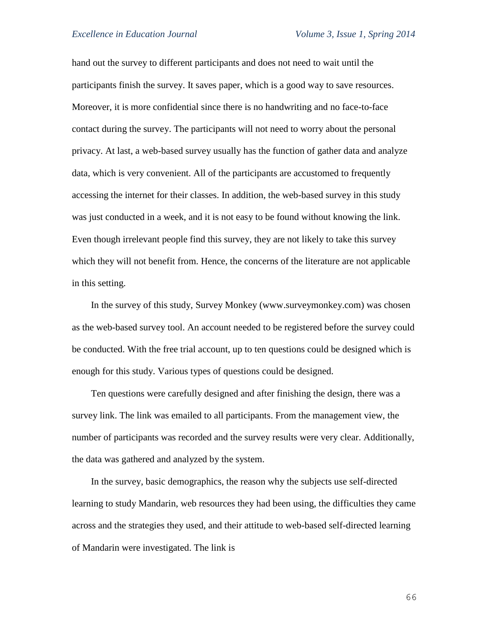hand out the survey to different participants and does not need to wait until the participants finish the survey. It saves paper, which is a good way to save resources. Moreover, it is more confidential since there is no handwriting and no face-to-face contact during the survey. The participants will not need to worry about the personal privacy. At last, a web-based survey usually has the function of gather data and analyze data, which is very convenient. All of the participants are accustomed to frequently accessing the internet for their classes. In addition, the web-based survey in this study was just conducted in a week, and it is not easy to be found without knowing the link. Even though irrelevant people find this survey, they are not likely to take this survey which they will not benefit from. Hence, the concerns of the literature are not applicable in this setting.

In the survey of this study, Survey Monkey (www.surveymonkey.com) was chosen as the web-based survey tool. An account needed to be registered before the survey could be conducted. With the free trial account, up to ten questions could be designed which is enough for this study. Various types of questions could be designed.

Ten questions were carefully designed and after finishing the design, there was a survey link. The link was emailed to all participants. From the management view, the number of participants was recorded and the survey results were very clear. Additionally, the data was gathered and analyzed by the system.

In the survey, basic demographics, the reason why the subjects use self-directed learning to study Mandarin, web resources they had been using, the difficulties they came across and the strategies they used, and their attitude to web-based self-directed learning of Mandarin were investigated. The link is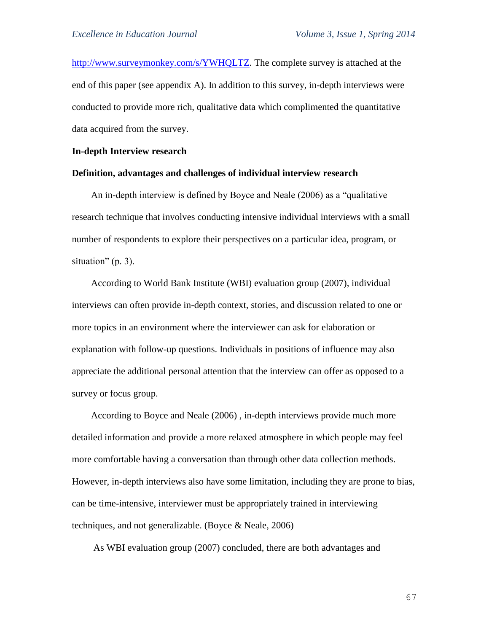[http://www.surveymonkey.com/s/YWHQLTZ.](http://www.surveymonkey.com/s/YWHQLTZ) The complete survey is attached at the end of this paper (see appendix A). In addition to this survey, in-depth interviews were conducted to provide more rich, qualitative data which complimented the quantitative data acquired from the survey.

#### **In-depth Interview research**

# **Definition, advantages and challenges of individual interview research**

An in-depth interview is defined by Boyce and Neale (2006) as a "qualitative research technique that involves conducting intensive individual interviews with a small number of respondents to explore their perspectives on a particular idea, program, or situation" (p. 3).

According to World Bank Institute (WBI) evaluation group (2007), individual interviews can often provide in-depth context, stories, and discussion related to one or more topics in an environment where the interviewer can ask for elaboration or explanation with follow-up questions. Individuals in positions of influence may also appreciate the additional personal attention that the interview can offer as opposed to a survey or focus group.

According to Boyce and Neale (2006) , in-depth interviews provide much more detailed information and provide a more relaxed atmosphere in which people may feel more comfortable having a conversation than through other data collection methods. However, in-depth interviews also have some limitation, including they are prone to bias, can be time-intensive, interviewer must be appropriately trained in interviewing techniques, and not generalizable. (Boyce & Neale, 2006)

As WBI evaluation group (2007) concluded, there are both advantages and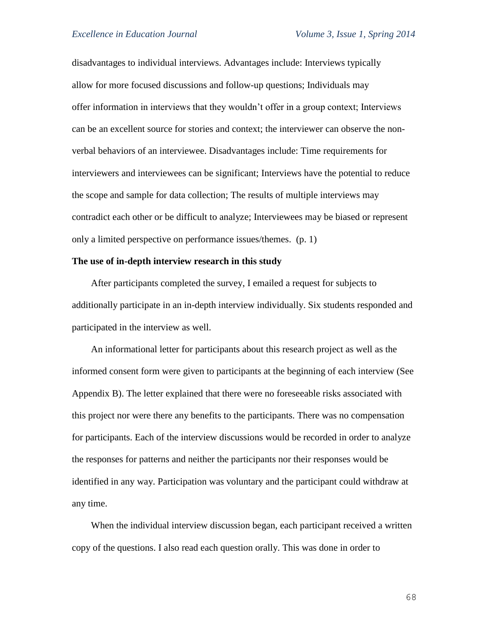disadvantages to individual interviews. Advantages include: Interviews typically allow for more focused discussions and follow-up questions; Individuals may offer information in interviews that they wouldn't offer in a group context; Interviews can be an excellent source for stories and context; the interviewer can observe the nonverbal behaviors of an interviewee. Disadvantages include: Time requirements for interviewers and interviewees can be significant; Interviews have the potential to reduce the scope and sample for data collection; The results of multiple interviews may contradict each other or be difficult to analyze; Interviewees may be biased or represent only a limited perspective on performance issues/themes. (p. 1)

# **The use of in-depth interview research in this study**

After participants completed the survey, I emailed a request for subjects to additionally participate in an in-depth interview individually. Six students responded and participated in the interview as well.

An informational letter for participants about this research project as well as the informed consent form were given to participants at the beginning of each interview (See Appendix B). The letter explained that there were no foreseeable risks associated with this project nor were there any benefits to the participants. There was no compensation for participants. Each of the interview discussions would be recorded in order to analyze the responses for patterns and neither the participants nor their responses would be identified in any way. Participation was voluntary and the participant could withdraw at any time.

When the individual interview discussion began, each participant received a written copy of the questions. I also read each question orally. This was done in order to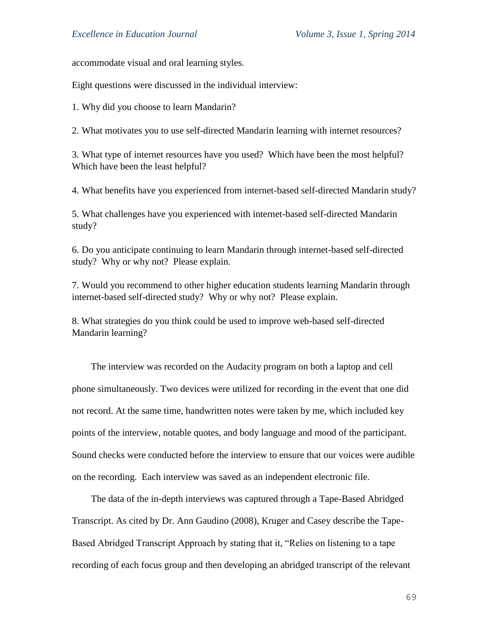accommodate visual and oral learning styles.

Eight questions were discussed in the individual interview:

1. Why did you choose to learn Mandarin?

2. What motivates you to use self-directed Mandarin learning with internet resources?

3. What type of internet resources have you used? Which have been the most helpful? Which have been the least helpful?

4. What benefits have you experienced from internet-based self-directed Mandarin study?

5. What challenges have you experienced with internet-based self-directed Mandarin study?

6. Do you anticipate continuing to learn Mandarin through internet-based self-directed study? Why or why not? Please explain.

7. Would you recommend to other higher education students learning Mandarin through internet-based self-directed study? Why or why not? Please explain.

8. What strategies do you think could be used to improve web-based self-directed Mandarin learning?

The interview was recorded on the Audacity program on both a laptop and cell phone simultaneously. Two devices were utilized for recording in the event that one did not record. At the same time, handwritten notes were taken by me, which included key points of the interview, notable quotes, and body language and mood of the participant. Sound checks were conducted before the interview to ensure that our voices were audible on the recording. Each interview was saved as an independent electronic file.

The data of the in-depth interviews was captured through a Tape-Based Abridged Transcript. As cited by Dr. Ann Gaudino (2008), Kruger and Casey describe the Tape-Based Abridged Transcript Approach by stating that it, "Relies on listening to a tape recording of each focus group and then developing an abridged transcript of the relevant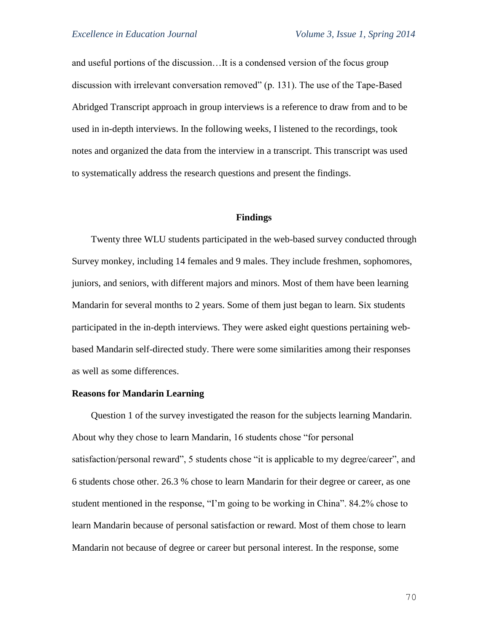and useful portions of the discussion…It is a condensed version of the focus group discussion with irrelevant conversation removed" (p. 131). The use of the Tape-Based Abridged Transcript approach in group interviews is a reference to draw from and to be used in in-depth interviews. In the following weeks, I listened to the recordings, took notes and organized the data from the interview in a transcript. This transcript was used to systematically address the research questions and present the findings.

## **Findings**

Twenty three WLU students participated in the web-based survey conducted through Survey monkey, including 14 females and 9 males. They include freshmen, sophomores, juniors, and seniors, with different majors and minors. Most of them have been learning Mandarin for several months to 2 years. Some of them just began to learn. Six students participated in the in-depth interviews. They were asked eight questions pertaining webbased Mandarin self-directed study. There were some similarities among their responses as well as some differences.

# **Reasons for Mandarin Learning**

Question 1 of the survey investigated the reason for the subjects learning Mandarin. About why they chose to learn Mandarin, 16 students chose "for personal satisfaction/personal reward", 5 students chose "it is applicable to my degree/career", and 6 students chose other. 26.3 % chose to learn Mandarin for their degree or career, as one student mentioned in the response, "I'm going to be working in China". 84.2% chose to learn Mandarin because of personal satisfaction or reward. Most of them chose to learn Mandarin not because of degree or career but personal interest. In the response, some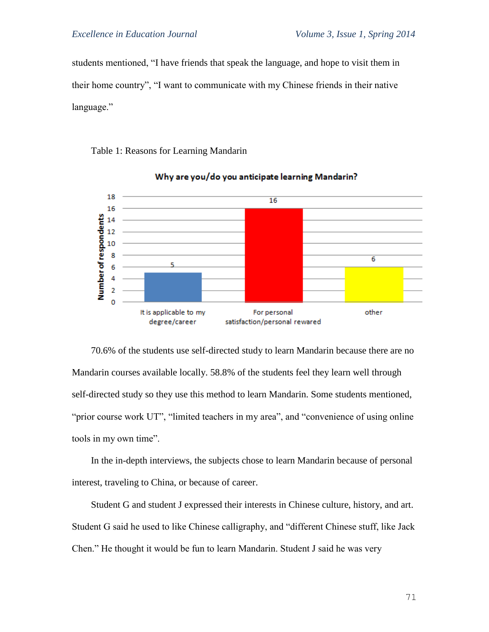students mentioned, "I have friends that speak the language, and hope to visit them in their home country", "I want to communicate with my Chinese friends in their native language."

Table 1: Reasons for Learning Mandarin



# Why are you/do you anticipate learning Mandarin?

70.6% of the students use self-directed study to learn Mandarin because there are no Mandarin courses available locally. 58.8% of the students feel they learn well through self-directed study so they use this method to learn Mandarin. Some students mentioned, "prior course work UT", "limited teachers in my area", and "convenience of using online" tools in my own time".

In the in-depth interviews, the subjects chose to learn Mandarin because of personal interest, traveling to China, or because of career.

Student G and student J expressed their interests in Chinese culture, history, and art. Student G said he used to like Chinese calligraphy, and "different Chinese stuff, like Jack Chen." He thought it would be fun to learn Mandarin. Student J said he was very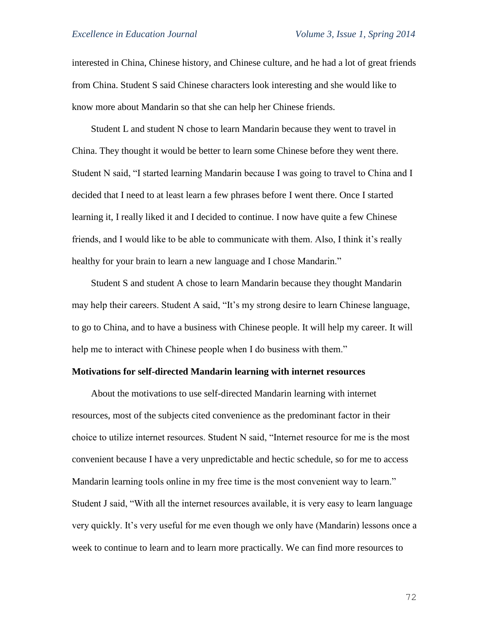interested in China, Chinese history, and Chinese culture, and he had a lot of great friends from China. Student S said Chinese characters look interesting and she would like to know more about Mandarin so that she can help her Chinese friends.

Student L and student N chose to learn Mandarin because they went to travel in China. They thought it would be better to learn some Chinese before they went there. Student N said, "I started learning Mandarin because I was going to travel to China and I decided that I need to at least learn a few phrases before I went there. Once I started learning it, I really liked it and I decided to continue. I now have quite a few Chinese friends, and I would like to be able to communicate with them. Also, I think it's really healthy for your brain to learn a new language and I chose Mandarin."

Student S and student A chose to learn Mandarin because they thought Mandarin may help their careers. Student A said, "It's my strong desire to learn Chinese language, to go to China, and to have a business with Chinese people. It will help my career. It will help me to interact with Chinese people when I do business with them."

#### **Motivations for self-directed Mandarin learning with internet resources**

About the motivations to use self-directed Mandarin learning with internet resources, most of the subjects cited convenience as the predominant factor in their choice to utilize internet resources. Student N said, "Internet resource for me is the most convenient because I have a very unpredictable and hectic schedule, so for me to access Mandarin learning tools online in my free time is the most convenient way to learn." Student J said, "With all the internet resources available, it is very easy to learn language very quickly. It's very useful for me even though we only have (Mandarin) lessons once a week to continue to learn and to learn more practically. We can find more resources to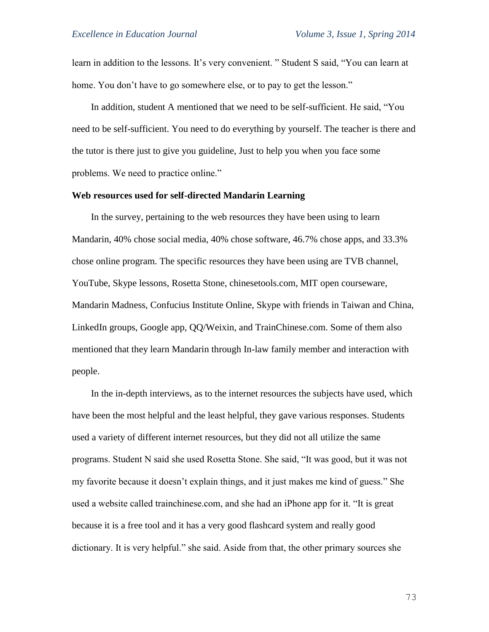learn in addition to the lessons. It's very convenient. " Student S said, "You can learn at home. You don't have to go somewhere else, or to pay to get the lesson."

In addition, student A mentioned that we need to be self-sufficient. He said, "You need to be self-sufficient. You need to do everything by yourself. The teacher is there and the tutor is there just to give you guideline, Just to help you when you face some problems. We need to practice online."

# **Web resources used for self-directed Mandarin Learning**

In the survey, pertaining to the web resources they have been using to learn Mandarin, 40% chose social media, 40% chose software, 46.7% chose apps, and 33.3% chose online program. The specific resources they have been using are TVB channel, YouTube, Skype lessons, Rosetta Stone, chinesetools.com, MIT open courseware, Mandarin Madness, Confucius Institute Online, Skype with friends in Taiwan and China, LinkedIn groups, Google app, QQ/Weixin, and TrainChinese.com. Some of them also mentioned that they learn Mandarin through In-law family member and interaction with people.

In the in-depth interviews, as to the internet resources the subjects have used, which have been the most helpful and the least helpful, they gave various responses. Students used a variety of different internet resources, but they did not all utilize the same programs. Student N said she used Rosetta Stone. She said, "It was good, but it was not my favorite because it doesn't explain things, and it just makes me kind of guess." She used a website called trainchinese.com, and she had an iPhone app for it. "It is great because it is a free tool and it has a very good flashcard system and really good dictionary. It is very helpful." she said. Aside from that, the other primary sources she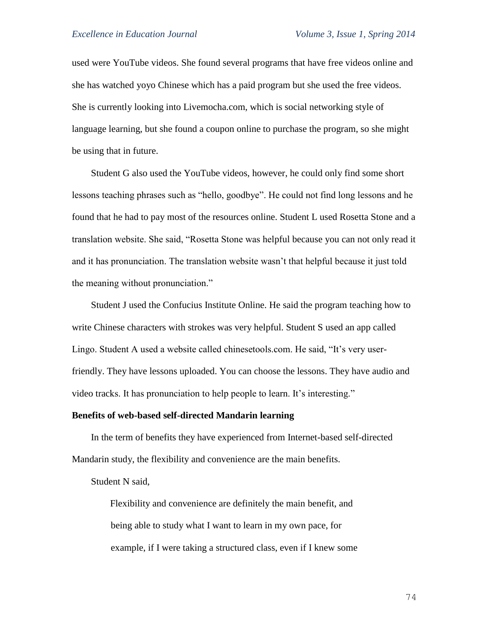used were YouTube videos. She found several programs that have free videos online and she has watched yoyo Chinese which has a paid program but she used the free videos. She is currently looking into Livemocha.com, which is social networking style of language learning, but she found a coupon online to purchase the program, so she might be using that in future.

Student G also used the YouTube videos, however, he could only find some short lessons teaching phrases such as "hello, goodbye". He could not find long lessons and he found that he had to pay most of the resources online. Student L used Rosetta Stone and a translation website. She said, "Rosetta Stone was helpful because you can not only read it and it has pronunciation. The translation website wasn't that helpful because it just told the meaning without pronunciation."

Student J used the Confucius Institute Online. He said the program teaching how to write Chinese characters with strokes was very helpful. Student S used an app called Lingo. Student A used a website called chinesetools.com. He said, "It's very userfriendly. They have lessons uploaded. You can choose the lessons. They have audio and video tracks. It has pronunciation to help people to learn. It's interesting."

### **Benefits of web-based self-directed Mandarin learning**

In the term of benefits they have experienced from Internet-based self-directed Mandarin study, the flexibility and convenience are the main benefits.

Student N said,

Flexibility and convenience are definitely the main benefit, and being able to study what I want to learn in my own pace, for example, if I were taking a structured class, even if I knew some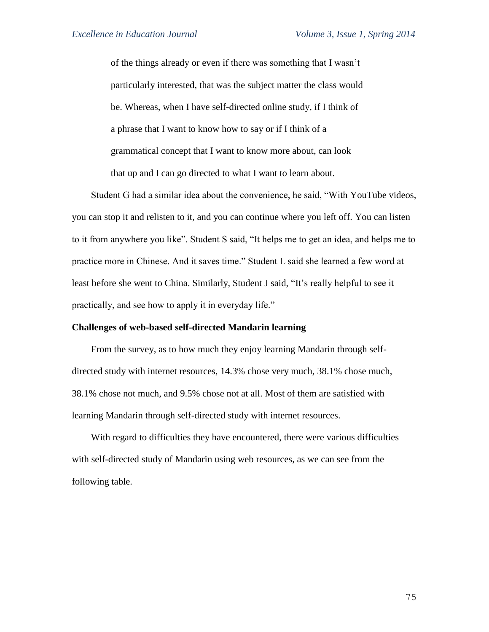of the things already or even if there was something that I wasn't particularly interested, that was the subject matter the class would be. Whereas, when I have self-directed online study, if I think of a phrase that I want to know how to say or if I think of a grammatical concept that I want to know more about, can look that up and I can go directed to what I want to learn about.

Student G had a similar idea about the convenience, he said, "With YouTube videos, you can stop it and relisten to it, and you can continue where you left off. You can listen to it from anywhere you like". Student S said, "It helps me to get an idea, and helps me to practice more in Chinese. And it saves time." Student L said she learned a few word at least before she went to China. Similarly, Student J said, "It's really helpful to see it practically, and see how to apply it in everyday life."

### **Challenges of web-based self-directed Mandarin learning**

From the survey, as to how much they enjoy learning Mandarin through selfdirected study with internet resources, 14.3% chose very much, 38.1% chose much, 38.1% chose not much, and 9.5% chose not at all. Most of them are satisfied with learning Mandarin through self-directed study with internet resources.

With regard to difficulties they have encountered, there were various difficulties with self-directed study of Mandarin using web resources, as we can see from the following table.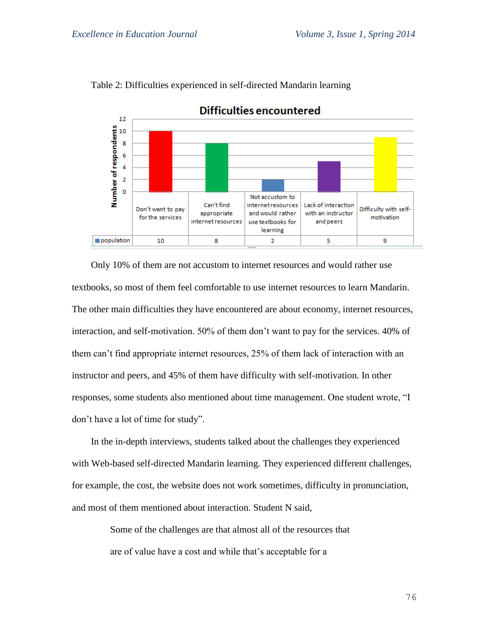

Table 2: Difficulties experienced in self-directed Mandarin learning

Only 10% of them are not accustom to internet resources and would rather use textbooks, so most of them feel comfortable to use internet resources to learn Mandarin. The other main difficulties they have encountered are about economy, internet resources, interaction, and self-motivation. 50% of them don't want to pay for the services. 40% of them can't find appropriate internet resources, 25% of them lack of interaction with an instructor and peers, and 45% of them have difficulty with self-motivation. In other responses, some students also mentioned about time management. One student wrote, "I don't have a lot of time for study".

In the in-depth interviews, students talked about the challenges they experienced with Web-based self-directed Mandarin learning. They experienced different challenges, for example, the cost, the website does not work sometimes, difficulty in pronunciation, and most of them mentioned about interaction. Student N said,

> Some of the challenges are that almost all of the resources that are of value have a cost and while that's acceptable for a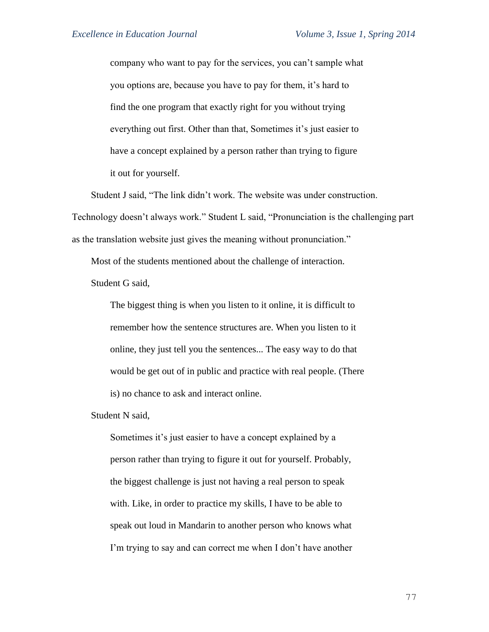company who want to pay for the services, you can't sample what you options are, because you have to pay for them, it's hard to find the one program that exactly right for you without trying everything out first. Other than that, Sometimes it's just easier to have a concept explained by a person rather than trying to figure it out for yourself.

Student J said, "The link didn't work. The website was under construction. Technology doesn't always work." Student L said, "Pronunciation is the challenging part as the translation website just gives the meaning without pronunciation."

Most of the students mentioned about the challenge of interaction. Student G said,

The biggest thing is when you listen to it online, it is difficult to remember how the sentence structures are. When you listen to it online, they just tell you the sentences... The easy way to do that would be get out of in public and practice with real people. (There is) no chance to ask and interact online.

Student N said,

Sometimes it's just easier to have a concept explained by a person rather than trying to figure it out for yourself. Probably, the biggest challenge is just not having a real person to speak with. Like, in order to practice my skills, I have to be able to speak out loud in Mandarin to another person who knows what I'm trying to say and can correct me when I don't have another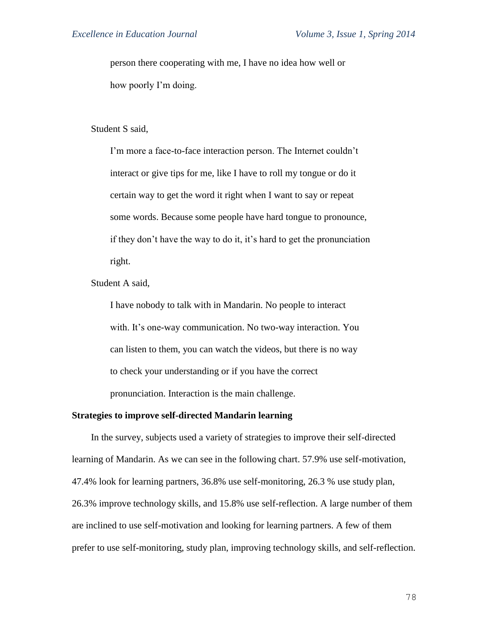person there cooperating with me, I have no idea how well or how poorly I'm doing.

#### Student S said,

I'm more a face-to-face interaction person. The Internet couldn't interact or give tips for me, like I have to roll my tongue or do it certain way to get the word it right when I want to say or repeat some words. Because some people have hard tongue to pronounce, if they don't have the way to do it, it's hard to get the pronunciation right.

Student A said,

I have nobody to talk with in Mandarin. No people to interact with. It's one-way communication. No two-way interaction. You can listen to them, you can watch the videos, but there is no way to check your understanding or if you have the correct pronunciation. Interaction is the main challenge.

### **Strategies to improve self-directed Mandarin learning**

In the survey, subjects used a variety of strategies to improve their self-directed learning of Mandarin. As we can see in the following chart. 57.9% use self-motivation, 47.4% look for learning partners, 36.8% use self-monitoring, 26.3 % use study plan, 26.3% improve technology skills, and 15.8% use self-reflection. A large number of them are inclined to use self-motivation and looking for learning partners. A few of them prefer to use self-monitoring, study plan, improving technology skills, and self-reflection.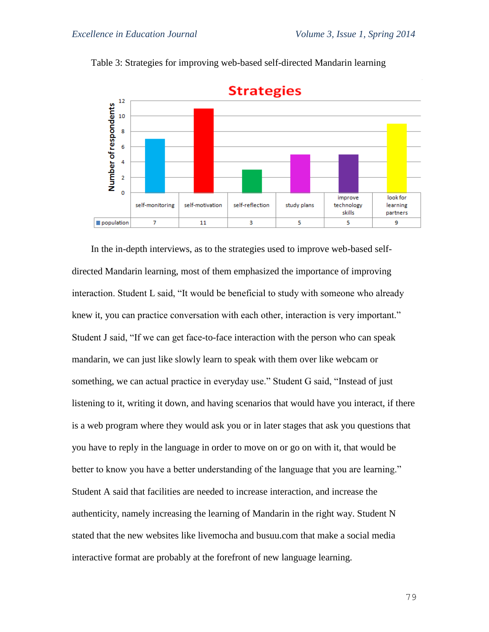

Table 3: Strategies for improving web-based self-directed Mandarin learning

In the in-depth interviews, as to the strategies used to improve web-based selfdirected Mandarin learning, most of them emphasized the importance of improving interaction. Student L said, "It would be beneficial to study with someone who already knew it, you can practice conversation with each other, interaction is very important." Student J said, "If we can get face-to-face interaction with the person who can speak mandarin, we can just like slowly learn to speak with them over like webcam or something, we can actual practice in everyday use." Student G said, "Instead of just listening to it, writing it down, and having scenarios that would have you interact, if there is a web program where they would ask you or in later stages that ask you questions that you have to reply in the language in order to move on or go on with it, that would be better to know you have a better understanding of the language that you are learning." Student A said that facilities are needed to increase interaction, and increase the authenticity, namely increasing the learning of Mandarin in the right way. Student N stated that the new websites like livemocha and busuu.com that make a social media interactive format are probably at the forefront of new language learning.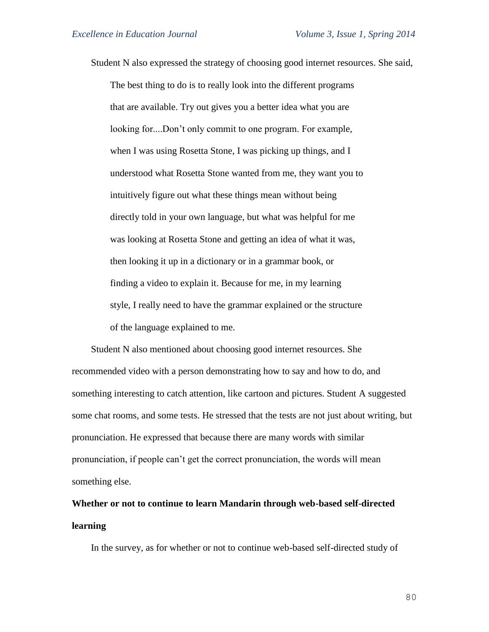Student N also expressed the strategy of choosing good internet resources. She said, The best thing to do is to really look into the different programs that are available. Try out gives you a better idea what you are looking for....Don't only commit to one program. For example, when I was using Rosetta Stone, I was picking up things, and I understood what Rosetta Stone wanted from me, they want you to intuitively figure out what these things mean without being directly told in your own language, but what was helpful for me was looking at Rosetta Stone and getting an idea of what it was, then looking it up in a dictionary or in a grammar book, or finding a video to explain it. Because for me, in my learning style, I really need to have the grammar explained or the structure of the language explained to me.

Student N also mentioned about choosing good internet resources. She recommended video with a person demonstrating how to say and how to do, and something interesting to catch attention, like cartoon and pictures. Student A suggested some chat rooms, and some tests. He stressed that the tests are not just about writing, but pronunciation. He expressed that because there are many words with similar pronunciation, if people can't get the correct pronunciation, the words will mean something else.

# **Whether or not to continue to learn Mandarin through web-based self-directed learning**

In the survey, as for whether or not to continue web-based self-directed study of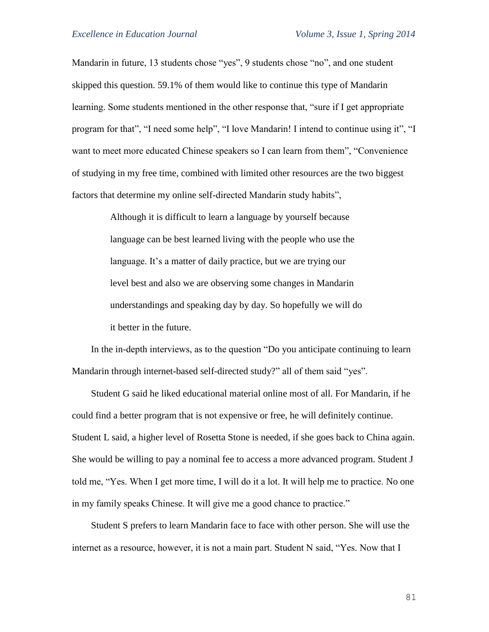Mandarin in future, 13 students chose "yes", 9 students chose "no", and one student skipped this question. 59.1% of them would like to continue this type of Mandarin learning. Some students mentioned in the other response that, "sure if I get appropriate program for that", "I need some help", "I love Mandarin! I intend to continue using it", "I want to meet more educated Chinese speakers so I can learn from them", "Convenience of studying in my free time, combined with limited other resources are the two biggest factors that determine my online self-directed Mandarin study habits",

> Although it is difficult to learn a language by yourself because language can be best learned living with the people who use the language. It's a matter of daily practice, but we are trying our level best and also we are observing some changes in Mandarin understandings and speaking day by day. So hopefully we will do it better in the future.

In the in-depth interviews, as to the question "Do you anticipate continuing to learn Mandarin through internet-based self-directed study?" all of them said "yes".

Student G said he liked educational material online most of all. For Mandarin, if he could find a better program that is not expensive or free, he will definitely continue. Student L said, a higher level of Rosetta Stone is needed, if she goes back to China again. She would be willing to pay a nominal fee to access a more advanced program. Student J told me, "Yes. When I get more time, I will do it a lot. It will help me to practice. No one in my family speaks Chinese. It will give me a good chance to practice."

Student S prefers to learn Mandarin face to face with other person. She will use the internet as a resource, however, it is not a main part. Student N said, "Yes. Now that I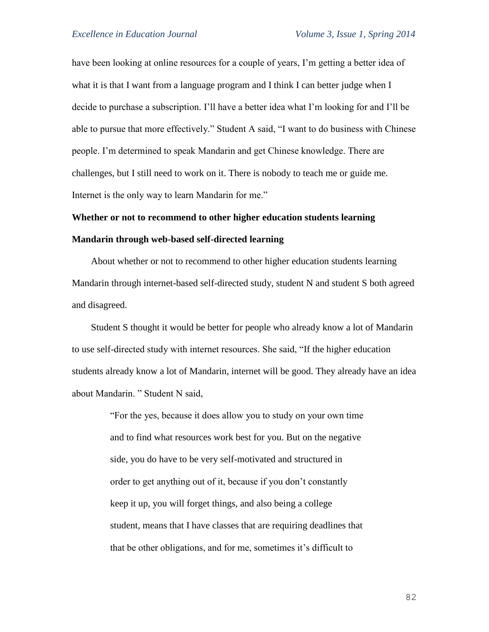have been looking at online resources for a couple of years, I'm getting a better idea of what it is that I want from a language program and I think I can better judge when I decide to purchase a subscription. I'll have a better idea what I'm looking for and I'll be able to pursue that more effectively." Student A said, "I want to do business with Chinese people. I'm determined to speak Mandarin and get Chinese knowledge. There are challenges, but I still need to work on it. There is nobody to teach me or guide me. Internet is the only way to learn Mandarin for me."

# **Whether or not to recommend to other higher education students learning Mandarin through web-based self-directed learning**

About whether or not to recommend to other higher education students learning Mandarin through internet-based self-directed study, student N and student S both agreed and disagreed.

Student S thought it would be better for people who already know a lot of Mandarin to use self-directed study with internet resources. She said, "If the higher education students already know a lot of Mandarin, internet will be good. They already have an idea about Mandarin. " Student N said,

> "For the yes, because it does allow you to study on your own time and to find what resources work best for you. But on the negative side, you do have to be very self-motivated and structured in order to get anything out of it, because if you don't constantly keep it up, you will forget things, and also being a college student, means that I have classes that are requiring deadlines that that be other obligations, and for me, sometimes it's difficult to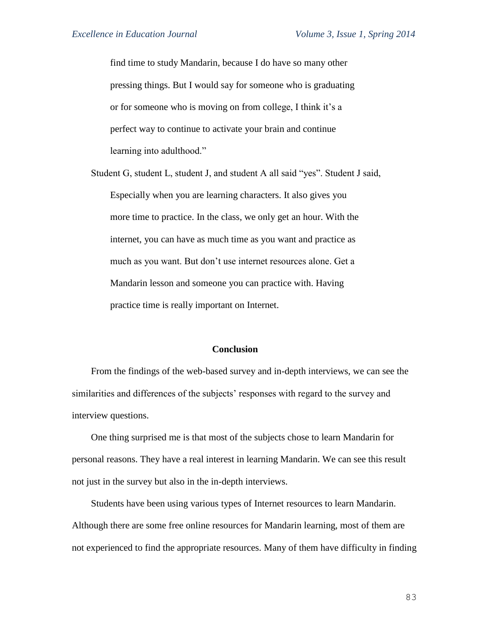find time to study Mandarin, because I do have so many other pressing things. But I would say for someone who is graduating or for someone who is moving on from college, I think it's a perfect way to continue to activate your brain and continue learning into adulthood."

Student G, student L, student J, and student A all said "yes". Student J said, Especially when you are learning characters. It also gives you more time to practice. In the class, we only get an hour. With the internet, you can have as much time as you want and practice as much as you want. But don't use internet resources alone. Get a Mandarin lesson and someone you can practice with. Having practice time is really important on Internet.

#### **Conclusion**

From the findings of the web-based survey and in-depth interviews, we can see the similarities and differences of the subjects' responses with regard to the survey and interview questions.

One thing surprised me is that most of the subjects chose to learn Mandarin for personal reasons. They have a real interest in learning Mandarin. We can see this result not just in the survey but also in the in-depth interviews.

Students have been using various types of Internet resources to learn Mandarin. Although there are some free online resources for Mandarin learning, most of them are not experienced to find the appropriate resources. Many of them have difficulty in finding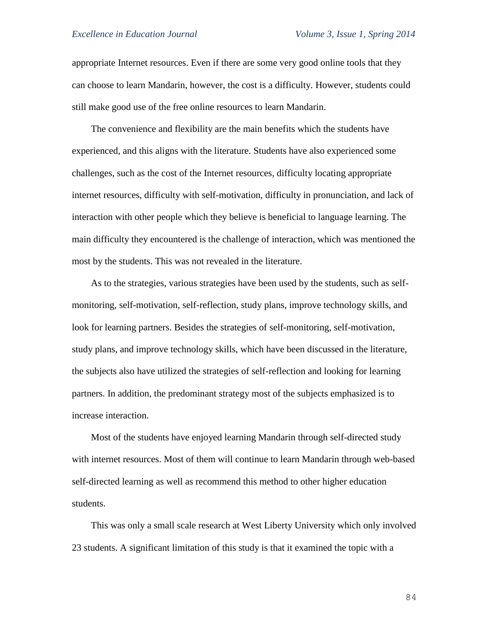appropriate Internet resources. Even if there are some very good online tools that they can choose to learn Mandarin, however, the cost is a difficulty. However, students could still make good use of the free online resources to learn Mandarin.

The convenience and flexibility are the main benefits which the students have experienced, and this aligns with the literature. Students have also experienced some challenges, such as the cost of the Internet resources, difficulty locating appropriate internet resources, difficulty with self-motivation, difficulty in pronunciation, and lack of interaction with other people which they believe is beneficial to language learning. The main difficulty they encountered is the challenge of interaction, which was mentioned the most by the students. This was not revealed in the literature.

As to the strategies, various strategies have been used by the students, such as selfmonitoring, self-motivation, self-reflection, study plans, improve technology skills, and look for learning partners. Besides the strategies of self-monitoring, self-motivation, study plans, and improve technology skills, which have been discussed in the literature, the subjects also have utilized the strategies of self-reflection and looking for learning partners. In addition, the predominant strategy most of the subjects emphasized is to increase interaction.

Most of the students have enjoyed learning Mandarin through self-directed study with internet resources. Most of them will continue to learn Mandarin through web-based self-directed learning as well as recommend this method to other higher education students.

This was only a small scale research at West Liberty University which only involved 23 students. A significant limitation of this study is that it examined the topic with a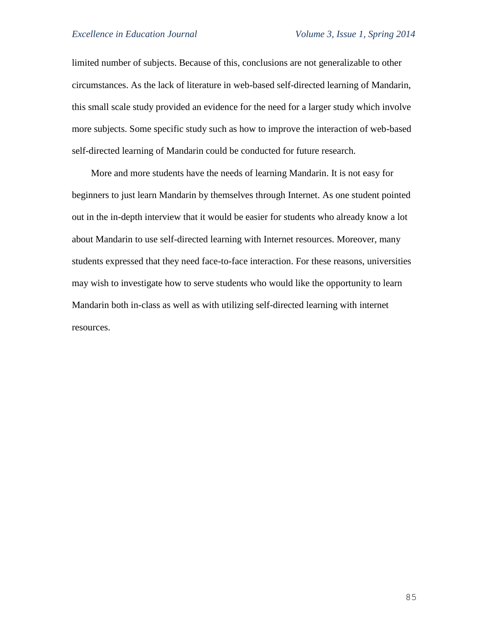limited number of subjects. Because of this, conclusions are not generalizable to other circumstances. As the lack of literature in web-based self-directed learning of Mandarin, this small scale study provided an evidence for the need for a larger study which involve more subjects. Some specific study such as how to improve the interaction of web-based self-directed learning of Mandarin could be conducted for future research.

More and more students have the needs of learning Mandarin. It is not easy for beginners to just learn Mandarin by themselves through Internet. As one student pointed out in the in-depth interview that it would be easier for students who already know a lot about Mandarin to use self-directed learning with Internet resources. Moreover, many students expressed that they need face-to-face interaction. For these reasons, universities may wish to investigate how to serve students who would like the opportunity to learn Mandarin both in-class as well as with utilizing self-directed learning with internet resources.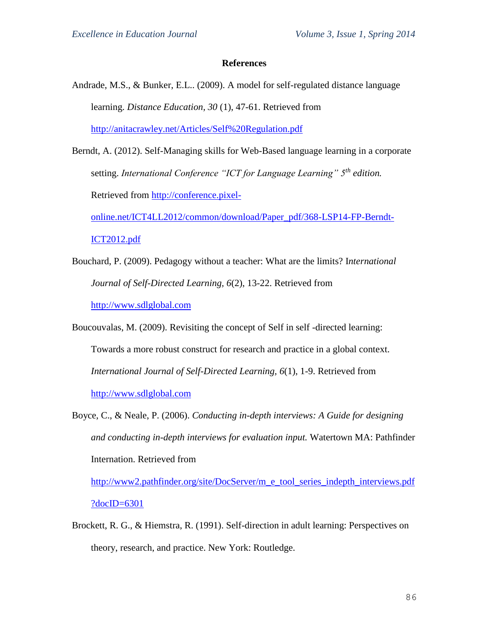#### **References**

- Andrade, M.S., & Bunker, E.L.. (2009). A model for self-regulated distance language learning. *Distance Education, 30* (1), 47-61. Retrieved from <http://anitacrawley.net/Articles/Self%20Regulation.pdf>
- Berndt, A. (2012). Self-Managing skills for Web-Based language learning in a corporate setting. *International Conference "ICT for Language Learning" 5th edition.*  Retrieved from [http://conference.pixel](http://conference.pixel-online.net/ICT4LL2012/common/download/Paper_pdf/368-LSP14-FP-Berndt-ICT2012.pdf)[online.net/ICT4LL2012/common/download/Paper\\_pdf/368-LSP14-FP-Berndt-](http://conference.pixel-online.net/ICT4LL2012/common/download/Paper_pdf/368-LSP14-FP-Berndt-ICT2012.pdf)

[ICT2012.pdf](http://conference.pixel-online.net/ICT4LL2012/common/download/Paper_pdf/368-LSP14-FP-Berndt-ICT2012.pdf)

- Bouchard, P. (2009). Pedagogy without a teacher: What are the limits? I*nternational Journal of Self-Directed Learning, 6*(2), 13-22. Retrieved from [http://www.sdlglobal.com](http://www.sdlglobal.com/)
- Boucouvalas, M. (2009). Revisiting the concept of Self in self -directed learning: Towards a more robust construct for research and practice in a global context. *International Journal of Self-Directed Learning, 6*(1), 1-9. Retrieved from [http://www.sdlglobal.com](http://www.sdlglobal.com/)
- Boyce, C., & Neale, P. (2006). *Conducting in-depth interviews: A Guide for designing and conducting in-depth interviews for evaluation input.* Watertown MA: Pathfinder Internation. Retrieved from

[http://www2.pathfinder.org/site/DocServer/m\\_e\\_tool\\_series\\_indepth\\_interviews.pdf](http://www2.pathfinder.org/site/DocServer/m_e_tool_series_indepth_interviews.pdf?docID=6301) [?docID=6301](http://www2.pathfinder.org/site/DocServer/m_e_tool_series_indepth_interviews.pdf?docID=6301)

Brockett, R. G., & Hiemstra, R. (1991). Self-direction in adult learning: Perspectives on theory, research, and practice. New York: Routledge.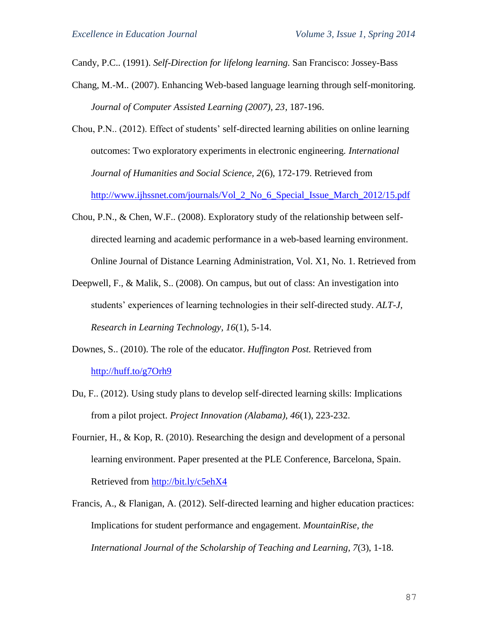Candy, P.C.. (1991). *Self-Direction for lifelong learning.* San Francisco: Jossey-Bass

- Chang, M.-M.. (2007). Enhancing Web-based language learning through self-monitoring. *Journal of Computer Assisted Learning (2007), 23*, 187-196.
- Chou, P.N.. (2012). Effect of students' self-directed learning abilities on online learning outcomes: Two exploratory experiments in electronic engineering*. International Journal of Humanities and Social Science, 2*(6), 172-179. Retrieved from [http://www.ijhssnet.com/journals/Vol\\_2\\_No\\_6\\_Special\\_Issue\\_March\\_2012/15.pdf](http://www.ijhssnet.com/journals/Vol_2_No_6_Special_Issue_March_2012/15.pdf)
- Chou, P.N., & Chen, W.F.. (2008). Exploratory study of the relationship between selfdirected learning and academic performance in a web-based learning environment. Online Journal of Distance Learning Administration, Vol. X1, No. 1. Retrieved from
- Deepwell, F., & Malik, S.. (2008). On campus, but out of class: An investigation into students' experiences of learning technologies in their self-directed study. *ALT-J, Research in Learning Technology, 16*(1), 5-14.
- Downes, S.. (2010). The role of the educator. *Huffington Post.* Retrieved from <http://huff.to/g7Orh9>
- Du, F.. (2012). Using study plans to develop self-directed learning skills: Implications from a pilot project. *Project Innovation (Alabama), 46*(1), 223-232.
- Fournier, H., & Kop, R. (2010). Researching the design and development of a personal learning environment. Paper presented at the PLE Conference, Barcelona, Spain. Retrieved from<http://bit.ly/c5ehX4>
- Francis, A., & Flanigan, A. (2012). Self-directed learning and higher education practices: Implications for student performance and engagement. *MountainRise, the International Journal of the Scholarship of Teaching and Learning, 7*(3), 1-18.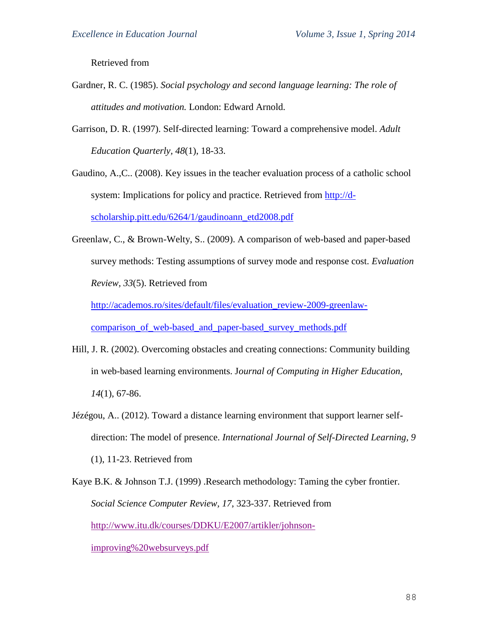Retrieved from

- Gardner, R. C. (1985). *Social psychology and second language learning: The role of attitudes and motivation.* London: Edward Arnold.
- Garrison, D. R. (1997). Self-directed learning: Toward a comprehensive model. *Adult Education Quarterly, 48*(1), 18-33.
- Gaudino, A.,C.. (2008). Key issues in the teacher evaluation process of a catholic school system: Implications for policy and practice. Retrieved from [http://d](http://d-scholarship.pitt.edu/6264/1/gaudinoann_etd2008.pdf)[scholarship.pitt.edu/6264/1/gaudinoann\\_etd2008.pdf](http://d-scholarship.pitt.edu/6264/1/gaudinoann_etd2008.pdf)
- Greenlaw, C., & Brown-Welty, S.. (2009). A comparison of web-based and paper-based survey methods: Testing assumptions of survey mode and response cost. *Evaluation Review, 33*(5). Retrieved from

[http://academos.ro/sites/default/files/evaluation\\_review-2009-greenlaw](http://academos.ro/sites/default/files/evaluation_review-2009-greenlaw-comparison_of_web-based_and_paper-based_survey_methods.pdf)comparison of web-based and paper-based survey methods.pdf

- Hill, J. R. (2002). Overcoming obstacles and creating connections: Community building in web-based learning environments. J*ournal of Computing in Higher Education, 14*(1), 67-86.
- Jézégou, A.. (2012). Toward a distance learning environment that support learner selfdirection: The model of presence. *International Journal of Self-Directed Learning, 9* (1), 11-23. Retrieved from

Kaye B.K. & Johnson T.J. (1999) .Research methodology: Taming the cyber frontier. *Social Science Computer Review, 17*, 323-337. Retrieved from [http://www.itu.dk/courses/DDKU/E2007/artikler/johnson](http://www.itu.dk/courses/DDKU/E2007/artikler/johnson-improving%20websurveys.pdf)[improving%20websurveys.pdf](http://www.itu.dk/courses/DDKU/E2007/artikler/johnson-improving%20websurveys.pdf)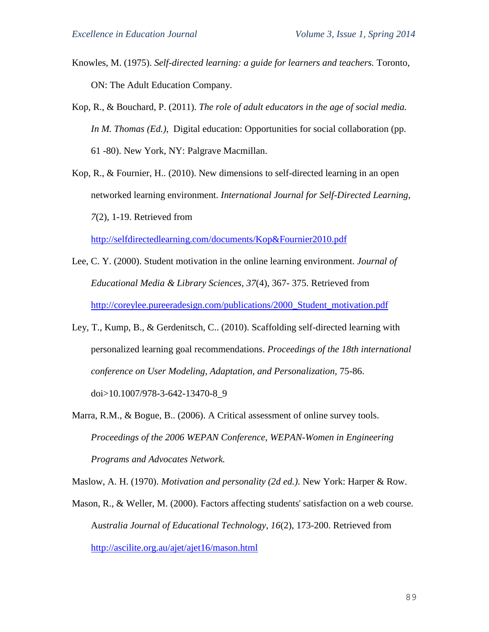- Knowles, M. (1975). *Self-directed learning: a guide for learners and teachers.* Toronto, ON: The Adult Education Company.
- Kop, R., & Bouchard, P. (2011). *The role of adult educators in the age of social media. In M. Thomas (Ed.),* Digital education: Opportunities for social collaboration (pp. 61 -80). New York, NY: Palgrave Macmillan.
- Kop, R., & Fournier, H.. (2010). New dimensions to self-directed learning in an open networked learning environment. *International Journal for Self-Directed Learning, 7*(2), 1-19. Retrieved from

<http://selfdirectedlearning.com/documents/Kop&Fournier2010.pdf>

- Lee, C. Y. (2000). Student motivation in the online learning environment. *Journal of Educational Media & Library Sciences, 37*(4), 367- 375. Retrieved from [http://coreylee.pureeradesign.com/publications/2000\\_Student\\_motivation.pdf](http://coreylee.pureeradesign.com/publications/2000_Student_motivation.pdf)
- Ley, T., Kump, B., & Gerdenitsch, C.. (2010). Scaffolding self-directed learning with personalized learning goal recommendations. *Proceedings of the 18th international conference on User Modeling, Adaptation, and Personalization,* 75-86. doi[>10.1007/978-3-642-13470-8\\_9](http://dx.doi.org/10.1007/978-3-642-13470-8_9)
- Marra, R.M., & Bogue, B.. (2006). A Critical assessment of online survey tools. *Proceedings of the 2006 WEPAN Conference, WEPAN-Women in Engineering Programs and Advocates Network.*

Maslow, A. H. (1970). *Motivation and personality (2d ed.)*. New York: Harper & Row.

Mason, R., & Weller, M. (2000). Factors affecting students' satisfaction on a web course. A*ustralia Journal of Educational Technology, 16*(2), 173-200. Retrieved from <http://ascilite.org.au/ajet/ajet16/mason.html>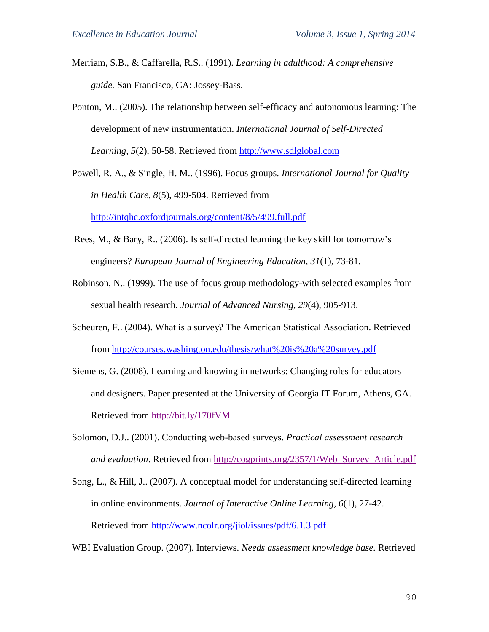- Merriam, S.B., & Caffarella, R.S.. (1991). *Learning in adulthood: A comprehensive guide.* San Francisco, CA: Jossey-Bass.
- Ponton, M.. (2005). The relationship between self-efficacy and autonomous learning: The development of new instrumentation. *International Journal of Self-Directed Learning, 5*(2), 50-58. Retrieved from [http://www.sdlglobal.com](http://www.sdlglobal.com/)
- Powell, R. A., & Single, H. M.. (1996). Focus groups. *International Journal for Quality in Health Care, 8*(5), 499-504. Retrieved from <http://intqhc.oxfordjournals.org/content/8/5/499.full.pdf>

Rees, M., & Bary, R.. (2006). Is self-directed learning the key skill for tomorrow's engineers? *European Journal of Engineering Education, 31*(1), 73-81.

- Robinson, N.. (1999). The use of focus group methodology-with selected examples from sexual health research. *Journal of Advanced Nursing, 29*(4), 905-913.
- Scheuren, F.. (2004). What is a survey? The American Statistical Association. Retrieved from<http://courses.washington.edu/thesis/what%20is%20a%20survey.pdf>
- Siemens, G. (2008). Learning and knowing in networks: Changing roles for educators and designers. Paper presented at the University of Georgia IT Forum, Athens, GA. Retrieved from<http://bit.ly/170fVM>
- Solomon, D.J.. (2001). Conducting web-based surveys. *Practical assessment research and evaluation*. Retrieved from [http://cogprints.org/2357/1/Web\\_Survey\\_Article.pdf](http://cogprints.org/2357/1/Web_Survey_Article.pdf)
- Song, L., & Hill, J.. (2007). A conceptual model for understanding self-directed learning in online environments. *Journal of Interactive Online Learning, 6*(1), 27-42. Retrieved from<http://www.ncolr.org/jiol/issues/pdf/6.1.3.pdf>

WBI Evaluation Group. (2007). Interviews. *Needs assessment knowledge base.* Retrieved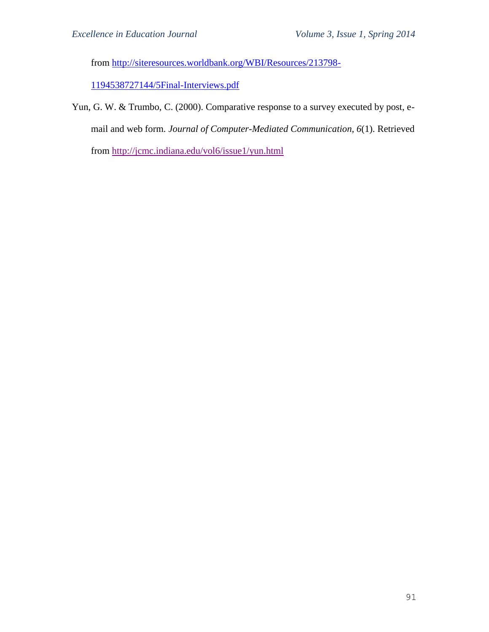from [http://siteresources.worldbank.org/WBI/Resources/213798-](http://siteresources.worldbank.org/WBI/Resources/213798-1194538727144/5Final-Interviews.pdf)

[1194538727144/5Final-Interviews.pdf](http://siteresources.worldbank.org/WBI/Resources/213798-1194538727144/5Final-Interviews.pdf)

Yun, G. W. & Trumbo, C. (2000). Comparative response to a survey executed by post, email and web form. *Journal of Computer-Mediated Communication, 6*(1). Retrieved from<http://jcmc.indiana.edu/vol6/issue1/yun.html>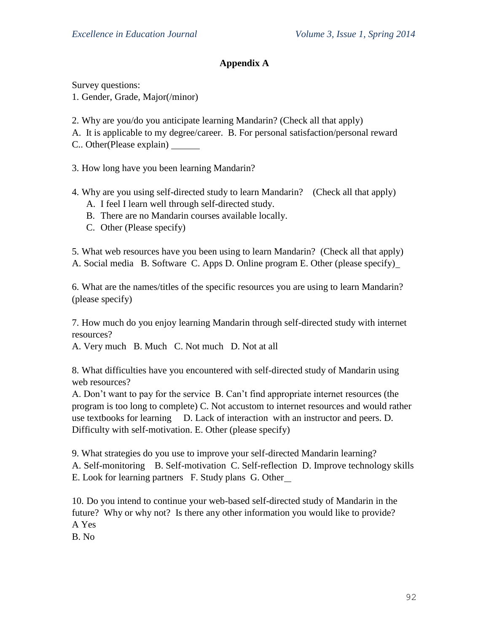# **Appendix A**

Survey questions:

1. Gender, Grade, Major(/minor)

2. Why are you/do you anticipate learning Mandarin? (Check all that apply)

A. It is applicable to my degree/career. B. For personal satisfaction/personal reward

C.. Other(Please explain)

3. How long have you been learning Mandarin?

4. Why are you using self-directed study to learn Mandarin? (Check all that apply)

A. I feel I learn well through self-directed study.

B. There are no Mandarin courses available locally.

C. Other (Please specify)

5. What web resources have you been using to learn Mandarin? (Check all that apply) A. Social media B. Software C. Apps D. Online program E. Other (please specify)

6. What are the names/titles of the specific resources you are using to learn Mandarin? (please specify)

7. How much do you enjoy learning Mandarin through self-directed study with internet resources?

A. Very much B. Much C. Not much D. Not at all

8. What difficulties have you encountered with self-directed study of Mandarin using web resources?

A. Don't want to pay for the service B. Can't find appropriate internet resources (the program is too long to complete) C. Not accustom to internet resources and would rather use textbooks for learning D. Lack of interaction with an instructor and peers. D. Difficulty with self-motivation. E. Other (please specify)

9. What strategies do you use to improve your self-directed Mandarin learning? A. Self-monitoring B. Self-motivation C. Self-reflection D. Improve technology skills E. Look for learning partners F. Study plans G. Other

10. Do you intend to continue your web-based self-directed study of Mandarin in the future? Why or why not? Is there any other information you would like to provide? A Yes

B. No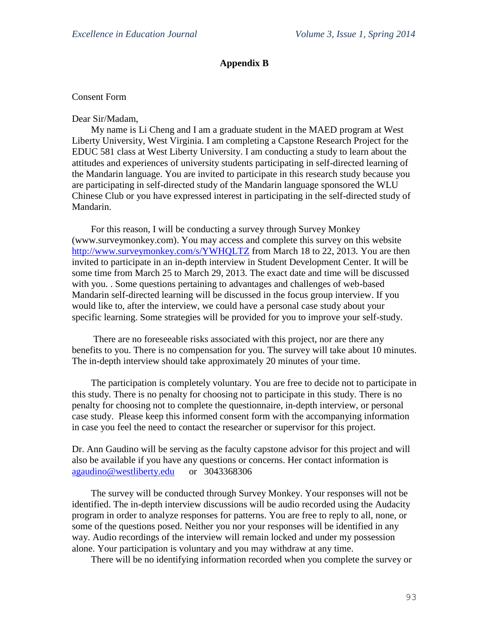# **Appendix B**

## Consent Form

Dear Sir/Madam,

My name is Li Cheng and I am a graduate student in the MAED program at West Liberty University, West Virginia. I am completing a Capstone Research Project for the EDUC 581 class at West Liberty University. I am conducting a study to learn about the attitudes and experiences of university students participating in self-directed learning of the Mandarin language. You are invited to participate in this research study because you are participating in self-directed study of the Mandarin language sponsored the WLU Chinese Club or you have expressed interest in participating in the self-directed study of Mandarin.

For this reason, I will be conducting a survey through Survey Monkey (www.surveymonkey.com). You may access and complete this survey on this website <http://www.surveymonkey.com/s/YWHQLTZ> from March 18 to 22, 2013. You are then invited to participate in an in-depth interview in Student Development Center. It will be some time from March 25 to March 29, 2013. The exact date and time will be discussed with you. . Some questions pertaining to advantages and challenges of web-based Mandarin self-directed learning will be discussed in the focus group interview. If you would like to, after the interview, we could have a personal case study about your specific learning. Some strategies will be provided for you to improve your self-study.

There are no foreseeable risks associated with this project, nor are there any benefits to you. There is no compensation for you. The survey will take about 10 minutes. The in-depth interview should take approximately 20 minutes of your time.

The participation is completely voluntary. You are free to decide not to participate in this study. There is no penalty for choosing not to participate in this study. There is no penalty for choosing not to complete the questionnaire, in-depth interview, or personal case study. Please keep this informed consent form with the accompanying information in case you feel the need to contact the researcher or supervisor for this project.

Dr. Ann Gaudino will be serving as the faculty capstone advisor for this project and will also be available if you have any questions or concerns. Her contact information is [agaudino@westliberty.edu](mailto:agaudino@westliberty.edu) or 3043368306

The survey will be conducted through Survey Monkey. Your responses will not be identified. The in-depth interview discussions will be audio recorded using the Audacity program in order to analyze responses for patterns. You are free to reply to all, none, or some of the questions posed. Neither you nor your responses will be identified in any way. Audio recordings of the interview will remain locked and under my possession alone. Your participation is voluntary and you may withdraw at any time.

There will be no identifying information recorded when you complete the survey or